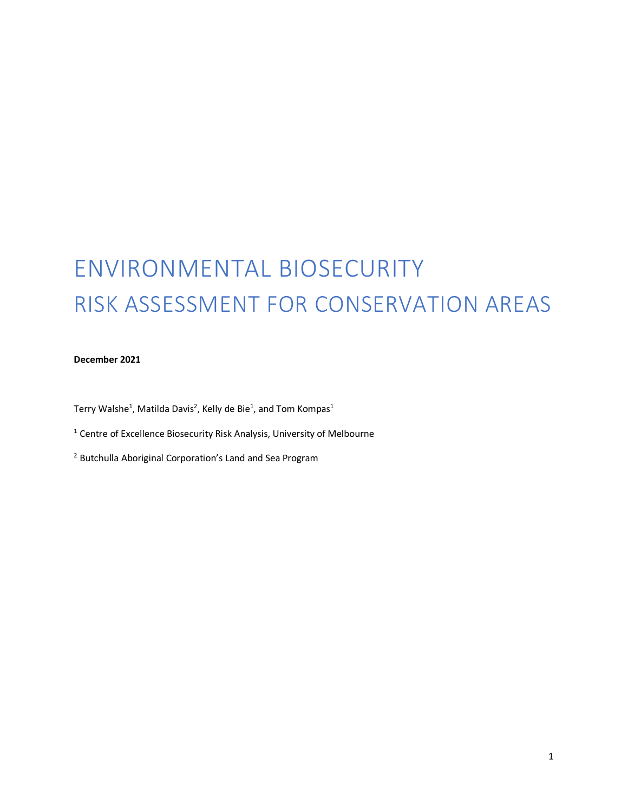# ENVIRONMENTAL BIOSECURITY RISK ASSESSMENT FOR CONSERVATION AREAS

#### **December 2021**

Terry Walshe<sup>1</sup>, Matilda Davis<sup>2</sup>, Kelly de Bie<sup>1</sup>, and Tom Kompas<sup>1</sup>

- <sup>1</sup> Centre of Excellence Biosecurity Risk Analysis, University of Melbourne
- <sup>2</sup> Butchulla Aboriginal Corporation's Land and Sea Program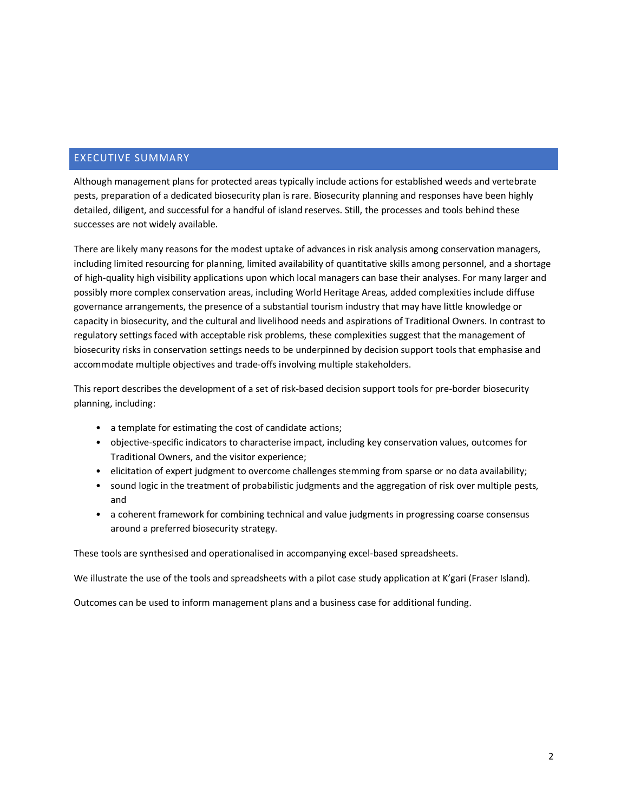## <span id="page-1-0"></span>EXECUTIVE SUMMARY

Although management plans for protected areas typically include actions for established weeds and vertebrate pests, preparation of a dedicated biosecurity plan is rare. Biosecurity planning and responses have been highly detailed, diligent, and successful for a handful of island reserves. Still, the processes and tools behind these successes are not widely available.

There are likely many reasons for the modest uptake of advances in risk analysis among conservation managers, including limited resourcing for planning, limited availability of quantitative skills among personnel, and a shortage of high-quality high visibility applications upon which local managers can base their analyses. For many larger and possibly more complex conservation areas, including World Heritage Areas, added complexities include diffuse governance arrangements, the presence of a substantial tourism industry that may have little knowledge or capacity in biosecurity, and the cultural and livelihood needs and aspirations of Traditional Owners. In contrast to regulatory settings faced with acceptable risk problems, these complexities suggest that the management of biosecurity risks in conservation settings needs to be underpinned by decision support tools that emphasise and accommodate multiple objectives and trade-offs involving multiple stakeholders.

This report describes the development of a set of risk-based decision support tools for pre-border biosecurity planning, including:

- a template for estimating the cost of candidate actions;
- objective-specific indicators to characterise impact, including key conservation values, outcomes for Traditional Owners, and the visitor experience;
- elicitation of expert judgment to overcome challenges stemming from sparse or no data availability;
- sound logic in the treatment of probabilistic judgments and the aggregation of risk over multiple pests, and
- a coherent framework for combining technical and value judgments in progressing coarse consensus around a preferred biosecurity strategy.

These tools are synthesised and operationalised in accompanying excel-based spreadsheets.

We illustrate the use of the tools and spreadsheets with a pilot case study application at K'gari (Fraser Island).

Outcomes can be used to inform management plans and a business case for additional funding.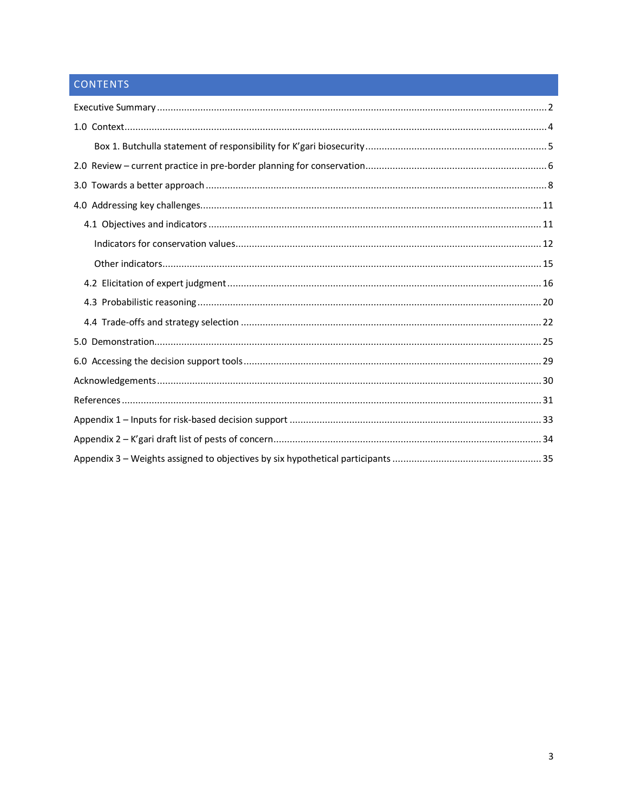# CONTENTS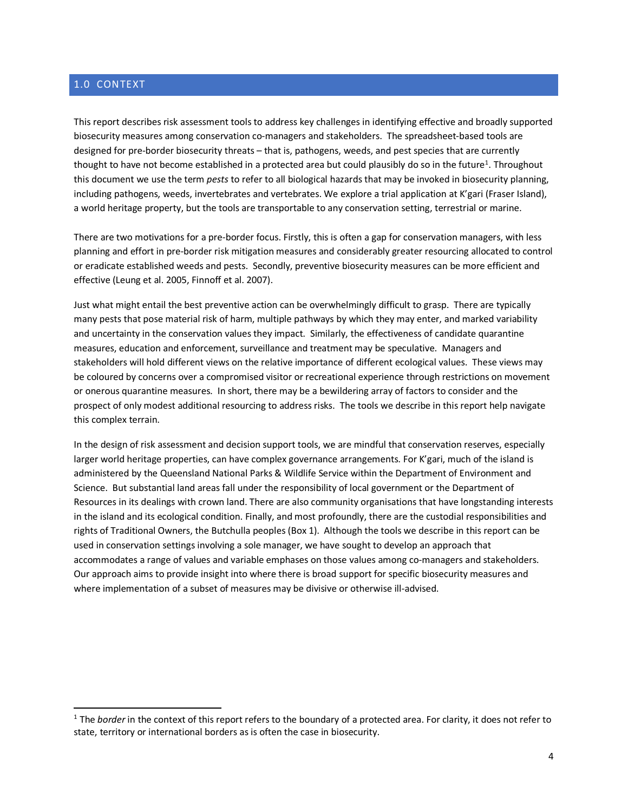## <span id="page-3-0"></span>1.0 CONTEXT

This report describes risk assessment tools to address key challenges in identifying effective and broadly supported biosecurity measures among conservation co-managers and stakeholders. The spreadsheet-based tools are designed for pre-border biosecurity threats – that is, pathogens, weeds, and pest species that are currently thought to have not become established in a protected area but could plausibly do so in the future<sup>[1](#page-3-1)</sup>. Throughout this document we use the term *pests* to refer to all biological hazards that may be invoked in biosecurity planning, including pathogens, weeds, invertebrates and vertebrates. We explore a trial application at K'gari (Fraser Island), a world heritage property, but the tools are transportable to any conservation setting, terrestrial or marine.

There are two motivations for a pre-border focus. Firstly, this is often a gap for conservation managers, with less planning and effort in pre-border risk mitigation measures and considerably greater resourcing allocated to control or eradicate established weeds and pests. Secondly, preventive biosecurity measures can be more efficient and effective (Leung et al. 2005, Finnoff et al. 2007).

Just what might entail the best preventive action can be overwhelmingly difficult to grasp. There are typically many pests that pose material risk of harm, multiple pathways by which they may enter, and marked variability and uncertainty in the conservation values they impact. Similarly, the effectiveness of candidate quarantine measures, education and enforcement, surveillance and treatment may be speculative. Managers and stakeholders will hold different views on the relative importance of different ecological values. These views may be coloured by concerns over a compromised visitor or recreational experience through restrictions on movement or onerous quarantine measures. In short, there may be a bewildering array of factors to consider and the prospect of only modest additional resourcing to address risks. The tools we describe in this report help navigate this complex terrain.

In the design of risk assessment and decision support tools, we are mindful that conservation reserves, especially larger world heritage properties, can have complex governance arrangements. For K'gari, much of the island is administered by the Queensland National Parks & Wildlife Service within the Department of Environment and Science. But substantial land areas fall under the responsibility of local government or the Department of Resources in its dealings with crown land. There are also community organisations that have longstanding interests in the island and its ecological condition. Finally, and most profoundly, there are the custodial responsibilities and rights of Traditional Owners, the Butchulla peoples (Box 1). Although the tools we describe in this report can be used in conservation settings involving a sole manager, we have sought to develop an approach that accommodates a range of values and variable emphases on those values among co-managers and stakeholders. Our approach aims to provide insight into where there is broad support for specific biosecurity measures and where implementation of a subset of measures may be divisive or otherwise ill-advised.

<span id="page-3-1"></span><sup>1</sup> The *border* in the context of this report refers to the boundary of a protected area. For clarity, it does not refer to state, territory or international borders as is often the case in biosecurity.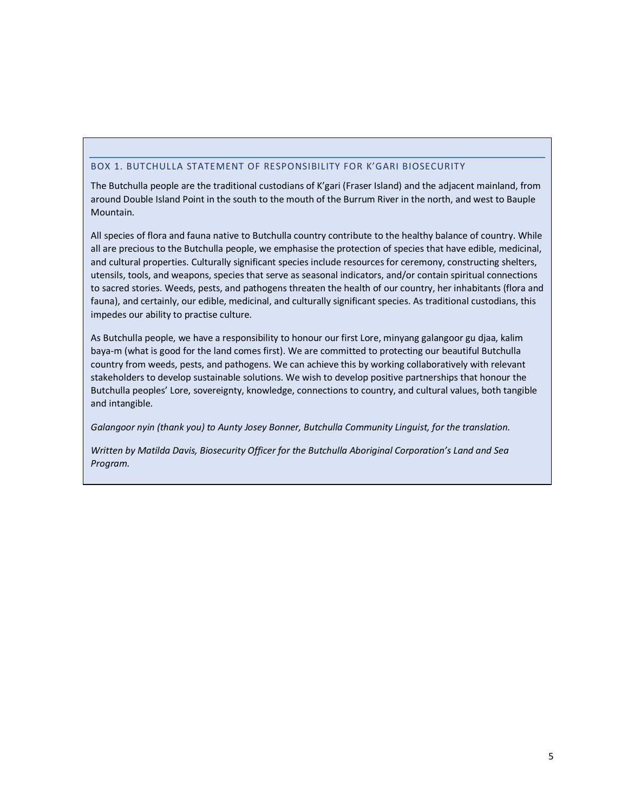#### BOX 1. BUTCHULLA STATEMENT OF RESPONSIBILITY FOR K'GARI BIOSECURITY

The Butchulla people are the traditional custodians of K'gari (Fraser Island) and the adjacent mainland, from around Double Island Point in the south to the mouth of the Burrum River in the north, and west to Bauple Mountain.

All species of flora and fauna native to Butchulla country contribute to the healthy balance of country. While all are precious to the Butchulla people, we emphasise the protection of species that have edible, medicinal, and cultural properties. Culturally significant species include resources for ceremony, constructing shelters, utensils, tools, and weapons, species that serve as seasonal indicators, and/or contain spiritual connections to sacred stories. Weeds, pests, and pathogens threaten the health of our country, her inhabitants (flora and fauna), and certainly, our edible, medicinal, and culturally significant species. As traditional custodians, this impedes our ability to practise culture.

As Butchulla people, we have a responsibility to honour our first Lore, minyang galangoor gu djaa, kalim baya-m (what is good for the land comes first). We are committed to protecting our beautiful Butchulla country from weeds, pests, and pathogens. We can achieve this by working collaboratively with relevant stakeholders to develop sustainable solutions. We wish to develop positive partnerships that honour the Butchulla peoples' Lore, sovereignty, knowledge, connections to country, and cultural values, both tangible and intangible.

*Galangoor nyin (thank you) to Aunty Josey Bonner, Butchulla Community Linguist, for the translation.*

*Written by Matilda Davis, Biosecurity Officer for the Butchulla Aboriginal Corporation's Land and Sea Program.*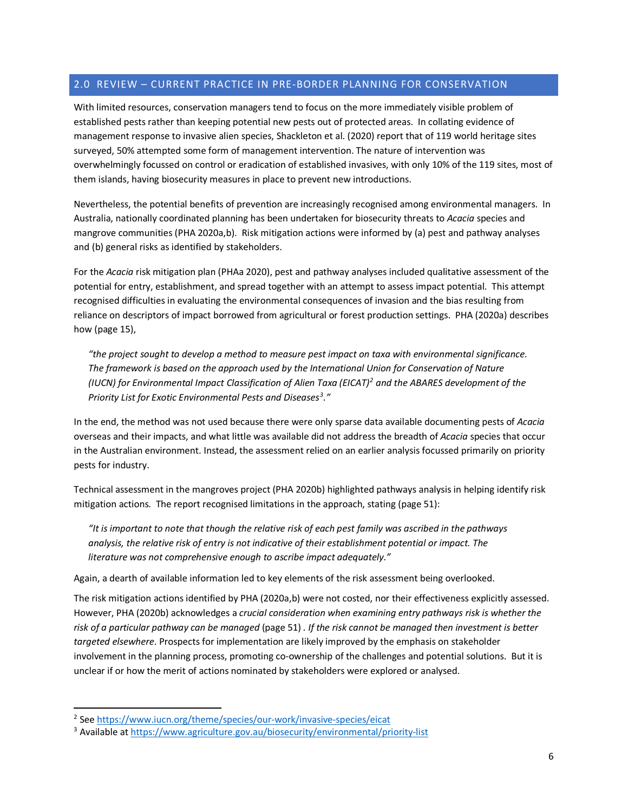#### <span id="page-5-0"></span>2.0 REVIEW – CURRENT PRACTICE IN PRE-BORDER PLANNING FOR CONSERVATION

With limited resources, conservation managers tend to focus on the more immediately visible problem of established pests rather than keeping potential new pests out of protected areas. In collating evidence of management response to invasive alien species, Shackleton et al. (2020) report that of 119 world heritage sites surveyed, 50% attempted some form of management intervention. The nature of intervention was overwhelmingly focussed on control or eradication of established invasives, with only 10% of the 119 sites, most of them islands, having biosecurity measures in place to prevent new introductions.

Nevertheless, the potential benefits of prevention are increasingly recognised among environmental managers. In Australia, nationally coordinated planning has been undertaken for biosecurity threats to *Acacia* species and mangrove communities (PHA 2020a,b). Risk mitigation actions were informed by (a) pest and pathway analyses and (b) general risks as identified by stakeholders.

For the *Acacia* risk mitigation plan (PHAa 2020), pest and pathway analyses included qualitative assessment of the potential for entry, establishment, and spread together with an attempt to assess impact potential. This attempt recognised difficulties in evaluating the environmental consequences of invasion and the bias resulting from reliance on descriptors of impact borrowed from agricultural or forest production settings. PHA (2020a) describes how (page 15),

*"the project sought to develop a method to measure pest impact on taxa with environmental significance. The framework is based on the approach used by the International Union for Conservation of Nature (IUCN) for Environmental Impact Classification of Alien Taxa (EICAT)[2](#page-5-1) and the ABARES development of the Priority List for Exotic Environmental Pests and Diseases[3](#page-5-2) ."*

In the end, the method was not used because there were only sparse data available documenting pests of *Acacia*  overseas and their impacts, and what little was available did not address the breadth of *Acacia* species that occur in the Australian environment. Instead, the assessment relied on an earlier analysis focussed primarily on priority pests for industry.

Technical assessment in the mangroves project (PHA 2020b) highlighted pathways analysis in helping identify risk mitigation actions. The report recognised limitations in the approach, stating (page 51):

*"It is important to note that though the relative risk of each pest family was ascribed in the pathways analysis, the relative risk of entry is not indicative of their establishment potential or impact. The literature was not comprehensive enough to ascribe impact adequately."*

Again, a dearth of available information led to key elements of the risk assessment being overlooked.

The risk mitigation actions identified by PHA (2020a,b) were not costed, nor their effectiveness explicitly assessed. However, PHA (2020b) acknowledges a *crucial consideration when examining entry pathways risk is whether the risk of a particular pathway can be managed* (page 51) *. If the risk cannot be managed then investment is better targeted elsewhere*. Prospects for implementation are likely improved by the emphasis on stakeholder involvement in the planning process, promoting co-ownership of the challenges and potential solutions. But it is unclear if or how the merit of actions nominated by stakeholders were explored or analysed.

<span id="page-5-1"></span><sup>2</sup> Se[e https://www.iucn.org/theme/species/our-work/invasive-species/eicat](https://www.iucn.org/theme/species/our-work/invasive-species/eicat)

<span id="page-5-2"></span><sup>3</sup> Available a[t https://www.agriculture.gov.au/biosecurity/environmental/priority-list](https://www.agriculture.gov.au/biosecurity/environmental/priority-list)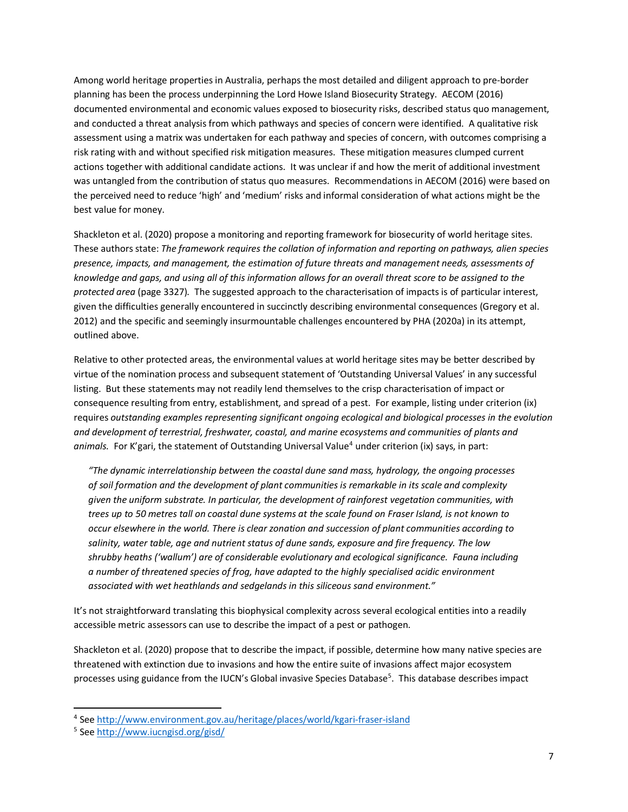Among world heritage properties in Australia, perhaps the most detailed and diligent approach to pre-border planning has been the process underpinning the Lord Howe Island Biosecurity Strategy. AECOM (2016) documented environmental and economic values exposed to biosecurity risks, described status quo management, and conducted a threat analysis from which pathways and species of concern were identified. A qualitative risk assessment using a matrix was undertaken for each pathway and species of concern, with outcomes comprising a risk rating with and without specified risk mitigation measures. These mitigation measures clumped current actions together with additional candidate actions. It was unclear if and how the merit of additional investment was untangled from the contribution of status quo measures. Recommendations in AECOM (2016) were based on the perceived need to reduce 'high' and 'medium' risks and informal consideration of what actions might be the best value for money.

Shackleton et al. (2020) propose a monitoring and reporting framework for biosecurity of world heritage sites. These authors state: *The framework requires the collation of information and reporting on pathways, alien species presence, impacts, and management, the estimation of future threats and management needs, assessments of knowledge and gaps, and using all of this information allows for an overall threat score to be assigned to the protected area* (page 3327)*.* The suggested approach to the characterisation of impacts is of particular interest, given the difficulties generally encountered in succinctly describing environmental consequences (Gregory et al. 2012) and the specific and seemingly insurmountable challenges encountered by PHA (2020a) in its attempt, outlined above.

Relative to other protected areas, the environmental values at world heritage sites may be better described by virtue of the nomination process and subsequent statement of 'Outstanding Universal Values' in any successful listing. But these statements may not readily lend themselves to the crisp characterisation of impact or consequence resulting from entry, establishment, and spread of a pest. For example, listing under criterion (ix) requires *outstanding examples representing significant ongoing ecological and biological processes in the evolution and development of terrestrial, freshwater, coastal, and marine ecosystems and communities of plants and*  animals. For K'gari, the statement of Outstanding Universal Value<sup>[4](#page-6-0)</sup> under criterion (ix) says, in part:

*"The dynamic interrelationship between the coastal dune sand mass, hydrology, the ongoing processes of soil formation and the development of plant communities is remarkable in its scale and complexity given the uniform substrate. In particular, the development of rainforest vegetation communities, with trees up to 50 metres tall on coastal dune systems at the scale found on Fraser Island, is not known to occur elsewhere in the world. There is clear zonation and succession of plant communities according to salinity, water table, age and nutrient status of dune sands, exposure and fire frequency. The low shrubby heaths ('wallum') are of considerable evolutionary and ecological significance. Fauna including a number of threatened species of frog, have adapted to the highly specialised acidic environment associated with wet heathlands and sedgelands in this siliceous sand environment."*

It's not straightforward translating this biophysical complexity across several ecological entities into a readily accessible metric assessors can use to describe the impact of a pest or pathogen.

Shackleton et al. (2020) propose that to describe the impact, if possible, determine how many native species are threatened with extinction due to invasions and how the entire suite of invasions affect major ecosystem processes using guidance from the IUCN's Global invasive Species Database<sup>5</sup>. This database describes impact

<span id="page-6-0"></span><sup>4</sup> Se[e http://www.environment.gov.au/heritage/places/world/kgari-fraser-island](http://www.environment.gov.au/heritage/places/world/kgari-fraser-island)

<span id="page-6-1"></span><sup>5</sup> Se[e http://www.iucngisd.org/gisd/](http://www.iucngisd.org/gisd/)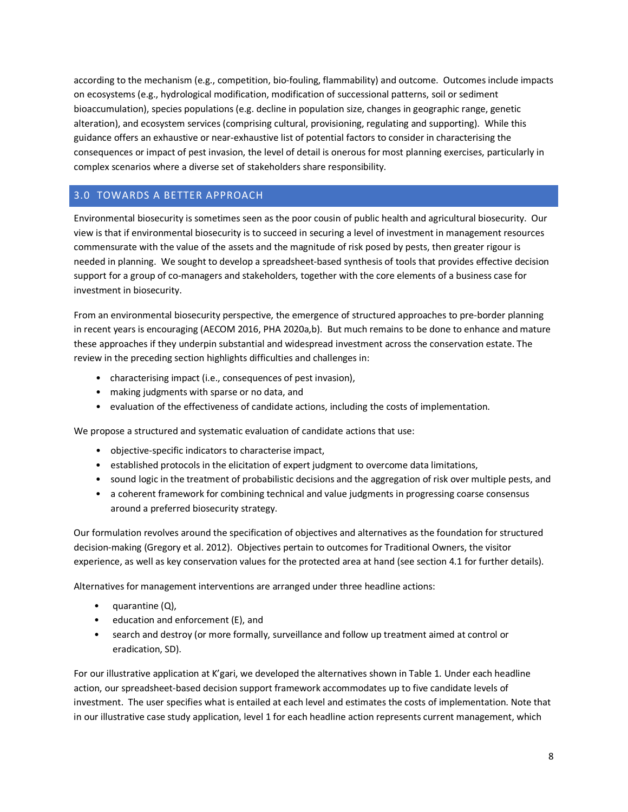according to the mechanism (e.g., competition, bio-fouling, flammability) and outcome. Outcomes include impacts on ecosystems (e.g., hydrological modification, modification of successional patterns, soil or sediment bioaccumulation), species populations (e.g. decline in population size, changes in geographic range, genetic alteration), and ecosystem services (comprising cultural, provisioning, regulating and supporting). While this guidance offers an exhaustive or near-exhaustive list of potential factors to consider in characterising the consequences or impact of pest invasion, the level of detail is onerous for most planning exercises, particularly in complex scenarios where a diverse set of stakeholders share responsibility.

# <span id="page-7-0"></span>3.0 TOWARDS A BETTER APPROACH

Environmental biosecurity is sometimes seen as the poor cousin of public health and agricultural biosecurity. Our view is that if environmental biosecurity is to succeed in securing a level of investment in management resources commensurate with the value of the assets and the magnitude of risk posed by pests, then greater rigour is needed in planning. We sought to develop a spreadsheet-based synthesis of tools that provides effective decision support for a group of co-managers and stakeholders, together with the core elements of a business case for investment in biosecurity.

From an environmental biosecurity perspective, the emergence of structured approaches to pre-border planning in recent years is encouraging (AECOM 2016, PHA 2020a,b). But much remains to be done to enhance and mature these approaches if they underpin substantial and widespread investment across the conservation estate. The review in the preceding section highlights difficulties and challenges in:

- characterising impact (i.e., consequences of pest invasion),
- making judgments with sparse or no data, and
- evaluation of the effectiveness of candidate actions, including the costs of implementation.

We propose a structured and systematic evaluation of candidate actions that use:

- objective-specific indicators to characterise impact,
- established protocols in the elicitation of expert judgment to overcome data limitations,
- sound logic in the treatment of probabilistic decisions and the aggregation of risk over multiple pests, and
- a coherent framework for combining technical and value judgments in progressing coarse consensus around a preferred biosecurity strategy.

Our formulation revolves around the specification of objectives and alternatives as the foundation for structured decision-making (Gregory et al. 2012). Objectives pertain to outcomes for Traditional Owners, the visitor experience, as well as key conservation values for the protected area at hand (see section 4.1 for further details).

Alternatives for management interventions are arranged under three headline actions:

- quarantine (Q),
- education and enforcement (E), and
- search and destroy (or more formally, surveillance and follow up treatment aimed at control or eradication, SD).

For our illustrative application at K'gari, we developed the alternatives shown in Table 1. Under each headline action, our spreadsheet-based decision support framework accommodates up to five candidate levels of investment. The user specifies what is entailed at each level and estimates the costs of implementation. Note that in our illustrative case study application, level 1 for each headline action represents current management, which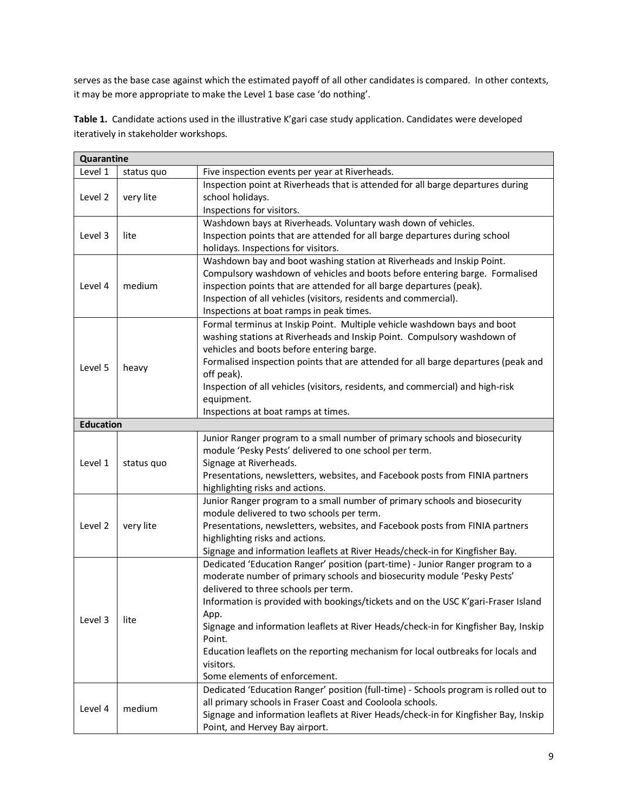serves as the base case against which the estimated payoff of all other candidates is compared. In other contexts, it may be more appropriate to make the Level 1 base case 'do nothing'.

**Table 1.** Candidate actions used in the illustrative K'gari case study application. Candidates were developed iteratively in stakeholder workshops.

| Quarantine       |            |                                                                                                                           |
|------------------|------------|---------------------------------------------------------------------------------------------------------------------------|
| Level 1          | status quo | Five inspection events per year at Riverheads.                                                                            |
| Level 2          | very lite  | Inspection point at Riverheads that is attended for all barge departures during<br>school holidays.                       |
|                  |            | Inspections for visitors.                                                                                                 |
|                  |            | Washdown bays at Riverheads. Voluntary wash down of vehicles.                                                             |
| Level 3          | lite       | Inspection points that are attended for all barge departures during school                                                |
|                  |            | holidays. Inspections for visitors.                                                                                       |
|                  |            | Washdown bay and boot washing station at Riverheads and Inskip Point.                                                     |
|                  |            | Compulsory washdown of vehicles and boots before entering barge. Formalised                                               |
| Level 4          | medium     | inspection points that are attended for all barge departures (peak).                                                      |
|                  |            | Inspection of all vehicles (visitors, residents and commercial).<br>Inspections at boat ramps in peak times.              |
|                  |            | Formal terminus at Inskip Point. Multiple vehicle washdown bays and boot                                                  |
|                  |            | washing stations at Riverheads and Inskip Point. Compulsory washdown of                                                   |
|                  |            | vehicles and boots before entering barge.                                                                                 |
|                  |            | Formalised inspection points that are attended for all barge departures (peak and                                         |
| Level 5          | heavy      | off peak).                                                                                                                |
|                  |            | Inspection of all vehicles (visitors, residents, and commercial) and high-risk                                            |
|                  |            | equipment.                                                                                                                |
|                  |            | Inspections at boat ramps at times.                                                                                       |
| <b>Education</b> |            |                                                                                                                           |
|                  |            | Junior Ranger program to a small number of primary schools and biosecurity                                                |
|                  |            | module 'Pesky Pests' delivered to one school per term.                                                                    |
| Level 1          | status quo | Signage at Riverheads.                                                                                                    |
|                  |            | Presentations, newsletters, websites, and Facebook posts from FINIA partners                                              |
|                  |            | highlighting risks and actions.                                                                                           |
|                  |            | Junior Ranger program to a small number of primary schools and biosecurity                                                |
| Level 2          | very lite  | module delivered to two schools per term.<br>Presentations, newsletters, websites, and Facebook posts from FINIA partners |
|                  |            | highlighting risks and actions.                                                                                           |
|                  |            | Signage and information leaflets at River Heads/check-in for Kingfisher Bay.                                              |
|                  |            | Dedicated 'Education Ranger' position (part-time) - Junior Ranger program to a                                            |
|                  |            | moderate number of primary schools and biosecurity module 'Pesky Pests'                                                   |
|                  |            | delivered to three schools per term.                                                                                      |
|                  |            | Information is provided with bookings/tickets and on the USC K'gari-Fraser Island                                         |
| Level 3          | lite       | App.                                                                                                                      |
|                  |            | Signage and information leaflets at River Heads/check-in for Kingfisher Bay, Inskip                                       |
|                  |            | Point.                                                                                                                    |
|                  |            | Education leaflets on the reporting mechanism for local outbreaks for locals and                                          |
|                  |            | visitors.                                                                                                                 |
|                  |            | Some elements of enforcement.                                                                                             |
|                  |            | Dedicated 'Education Ranger' position (full-time) - Schools program is rolled out to                                      |
| Level 4          | medium     | all primary schools in Fraser Coast and Cooloola schools.                                                                 |
|                  |            | Signage and information leaflets at River Heads/check-in for Kingfisher Bay, Inskip                                       |
|                  |            | Point, and Hervey Bay airport.                                                                                            |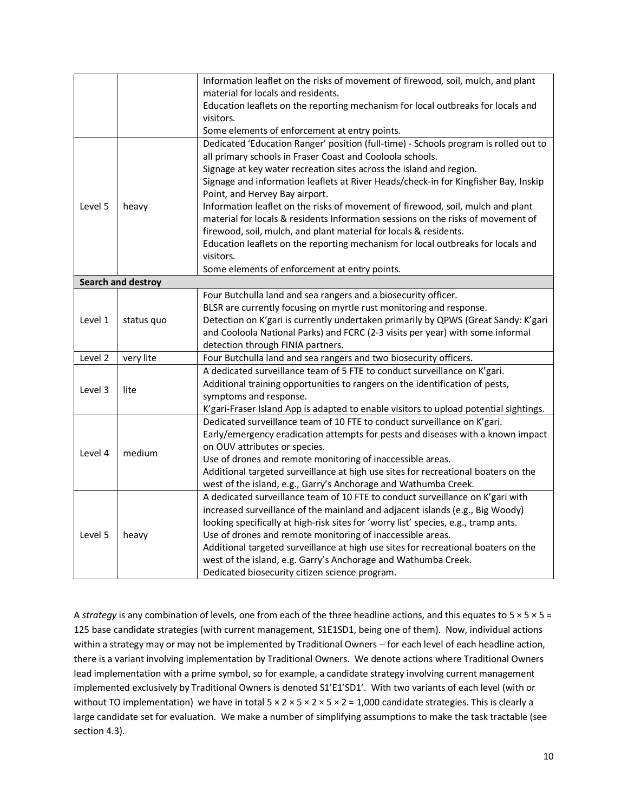|         |                    | Information leaflet on the risks of movement of firewood, soil, mulch, and plant      |
|---------|--------------------|---------------------------------------------------------------------------------------|
|         |                    | material for locals and residents.                                                    |
|         |                    | Education leaflets on the reporting mechanism for local outbreaks for locals and      |
|         |                    | visitors.                                                                             |
|         |                    | Some elements of enforcement at entry points.                                         |
|         |                    | Dedicated 'Education Ranger' position (full-time) - Schools program is rolled out to  |
|         |                    | all primary schools in Fraser Coast and Cooloola schools.                             |
|         |                    | Signage at key water recreation sites across the island and region.                   |
|         |                    | Signage and information leaflets at River Heads/check-in for Kingfisher Bay, Inskip   |
|         |                    | Point, and Hervey Bay airport.                                                        |
| Level 5 | heavy              | Information leaflet on the risks of movement of firewood, soil, mulch and plant       |
|         |                    | material for locals & residents Information sessions on the risks of movement of      |
|         |                    | firewood, soil, mulch, and plant material for locals & residents.                     |
|         |                    | Education leaflets on the reporting mechanism for local outbreaks for locals and      |
|         |                    | visitors.                                                                             |
|         |                    | Some elements of enforcement at entry points.                                         |
|         | Search and destroy |                                                                                       |
|         |                    | Four Butchulla land and sea rangers and a biosecurity officer.                        |
|         |                    | BLSR are currently focusing on myrtle rust monitoring and response.                   |
| Level 1 | status quo         | Detection on K'gari is currently undertaken primarily by QPWS (Great Sandy: K'gari    |
|         |                    | and Cooloola National Parks) and FCRC (2-3 visits per year) with some informal        |
|         |                    | detection through FINIA partners.                                                     |
| Level 2 | very lite          | Four Butchulla land and sea rangers and two biosecurity officers.                     |
|         |                    | A dedicated surveillance team of 5 FTE to conduct surveillance on K'gari.             |
| Level 3 | lite               | Additional training opportunities to rangers on the identification of pests,          |
|         |                    | symptoms and response.                                                                |
|         |                    | K'gari-Fraser Island App is adapted to enable visitors to upload potential sightings. |
|         |                    | Dedicated surveillance team of 10 FTE to conduct surveillance on K'gari.              |
|         |                    | Early/emergency eradication attempts for pests and diseases with a known impact       |
| Level 4 | medium             | on OUV attributes or species.                                                         |
|         |                    | Use of drones and remote monitoring of inaccessible areas.                            |
|         |                    | Additional targeted surveillance at high use sites for recreational boaters on the    |
|         |                    | west of the island, e.g., Garry's Anchorage and Wathumba Creek.                       |
|         |                    | A dedicated surveillance team of 10 FTE to conduct surveillance on K'gari with        |
|         |                    | increased surveillance of the mainland and adjacent islands (e.g., Big Woody)         |
|         |                    | looking specifically at high-risk sites for 'worry list' species, e.g., tramp ants.   |
| Level 5 | heavy              | Use of drones and remote monitoring of inaccessible areas.                            |
|         |                    | Additional targeted surveillance at high use sites for recreational boaters on the    |
|         |                    | west of the island, e.g. Garry's Anchorage and Wathumba Creek.                        |
|         |                    | Dedicated biosecurity citizen science program.                                        |

A *strategy* is any combination of levels, one from each of the three headline actions, and this equates to 5 × 5 × 5 = 125 base candidate strategies (with current management, S1E1SD1, being one of them). Now, individual actions within a strategy may or may not be implemented by Traditional Owners – for each level of each headline action, there is a variant involving implementation by Traditional Owners. We denote actions where Traditional Owners lead implementation with a prime symbol, so for example, a candidate strategy involving current management implemented exclusively by Traditional Owners is denoted S1'E1'SD1'. With two variants of each level (with or without TO implementation) we have in total  $5 \times 2 \times 5 \times 2 \times 5 \times 2 = 1,000$  candidate strategies. This is clearly a large candidate set for evaluation. We make a number of simplifying assumptions to make the task tractable (see section 4.3).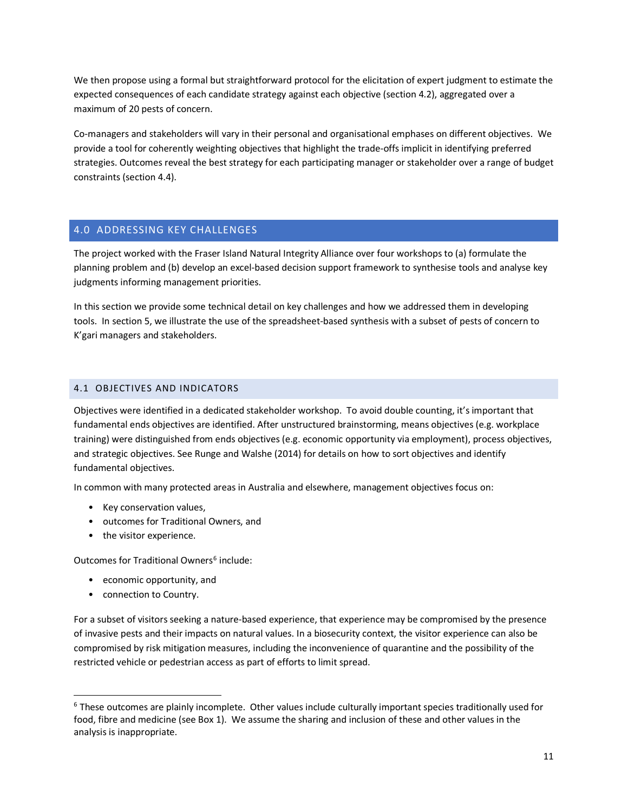We then propose using a formal but straightforward protocol for the elicitation of expert judgment to estimate the expected consequences of each candidate strategy against each objective (section 4.2), aggregated over a maximum of 20 pests of concern.

Co-managers and stakeholders will vary in their personal and organisational emphases on different objectives. We provide a tool for coherently weighting objectives that highlight the trade-offs implicit in identifying preferred strategies. Outcomes reveal the best strategy for each participating manager or stakeholder over a range of budget constraints (section 4.4).

## <span id="page-10-0"></span>4.0 ADDRESSING KEY CHALLENGES

The project worked with the Fraser Island Natural Integrity Alliance over four workshops to (a) formulate the planning problem and (b) develop an excel-based decision support framework to synthesise tools and analyse key judgments informing management priorities.

In this section we provide some technical detail on key challenges and how we addressed them in developing tools. In section 5, we illustrate the use of the spreadsheet-based synthesis with a subset of pests of concern to K'gari managers and stakeholders.

### <span id="page-10-1"></span>4.1 OBJECTIVES AND INDICATORS

Objectives were identified in a dedicated stakeholder workshop. To avoid double counting, it's important that fundamental ends objectives are identified. After unstructured brainstorming, means objectives (e.g. workplace training) were distinguished from ends objectives (e.g. economic opportunity via employment), process objectives, and strategic objectives. See Runge and Walshe (2014) for details on how to sort objectives and identify fundamental objectives.

In common with many protected areas in Australia and elsewhere, management objectives focus on:

- Key conservation values,
- outcomes for Traditional Owners, and
- the visitor experience.

Outcomes for Traditional Owners<sup>[6](#page-10-2)</sup> include:

- economic opportunity, and
- connection to Country.

For a subset of visitors seeking a nature-based experience, that experience may be compromised by the presence of invasive pests and their impacts on natural values. In a biosecurity context, the visitor experience can also be compromised by risk mitigation measures, including the inconvenience of quarantine and the possibility of the restricted vehicle or pedestrian access as part of efforts to limit spread.

<span id="page-10-2"></span> $6$  These outcomes are plainly incomplete. Other values include culturally important species traditionally used for food, fibre and medicine (see Box 1). We assume the sharing and inclusion of these and other values in the analysis is inappropriate.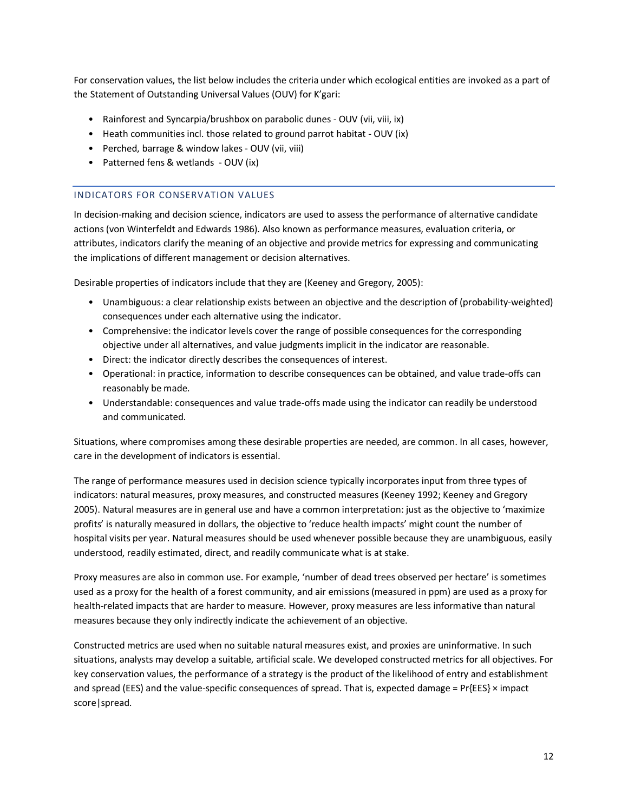For conservation values, the list below includes the criteria under which ecological entities are invoked as a part of the Statement of Outstanding Universal Values (OUV) for K'gari:

- Rainforest and Syncarpia/brushbox on parabolic dunes OUV (vii, viii, ix)
- Heath communities incl. those related to ground parrot habitat OUV (ix)
- Perched, barrage & window lakes OUV (vii, viii)
- Patterned fens & wetlands OUV (ix)

#### <span id="page-11-0"></span>INDICATORS FOR CONSERVATION VALUES

In decision-making and decision science, indicators are used to assess the performance of alternative candidate actions (von Winterfeldt and Edwards 1986). Also known as performance measures, evaluation criteria, or attributes, indicators clarify the meaning of an objective and provide metrics for expressing and communicating the implications of different management or decision alternatives.

Desirable properties of indicators include that they are (Keeney and Gregory, 2005):

- Unambiguous: a clear relationship exists between an objective and the description of (probability-weighted) consequences under each alternative using the indicator.
- Comprehensive: the indicator levels cover the range of possible consequences for the corresponding objective under all alternatives, and value judgments implicit in the indicator are reasonable.
- Direct: the indicator directly describes the consequences of interest.
- Operational: in practice, information to describe consequences can be obtained, and value trade-offs can reasonably be made.
- Understandable: consequences and value trade-offs made using the indicator can readily be understood and communicated.

Situations, where compromises among these desirable properties are needed, are common. In all cases, however, care in the development of indicators is essential.

The range of performance measures used in decision science typically incorporates input from three types of indicators: natural measures, proxy measures, and constructed measures (Keeney 1992; Keeney and Gregory 2005). Natural measures are in general use and have a common interpretation: just as the objective to 'maximize profits' is naturally measured in dollars, the objective to 'reduce health impacts' might count the number of hospital visits per year. Natural measures should be used whenever possible because they are unambiguous, easily understood, readily estimated, direct, and readily communicate what is at stake.

Proxy measures are also in common use. For example, 'number of dead trees observed per hectare' is sometimes used as a proxy for the health of a forest community, and air emissions (measured in ppm) are used as a proxy for health-related impacts that are harder to measure. However, proxy measures are less informative than natural measures because they only indirectly indicate the achievement of an objective.

Constructed metrics are used when no suitable natural measures exist, and proxies are uninformative. In such situations, analysts may develop a suitable, artificial scale. We developed constructed metrics for all objectives. For key conservation values, the performance of a strategy is the product of the likelihood of entry and establishment and spread (EES) and the value-specific consequences of spread. That is, expected damage = Pr{EES} × impact score|spread.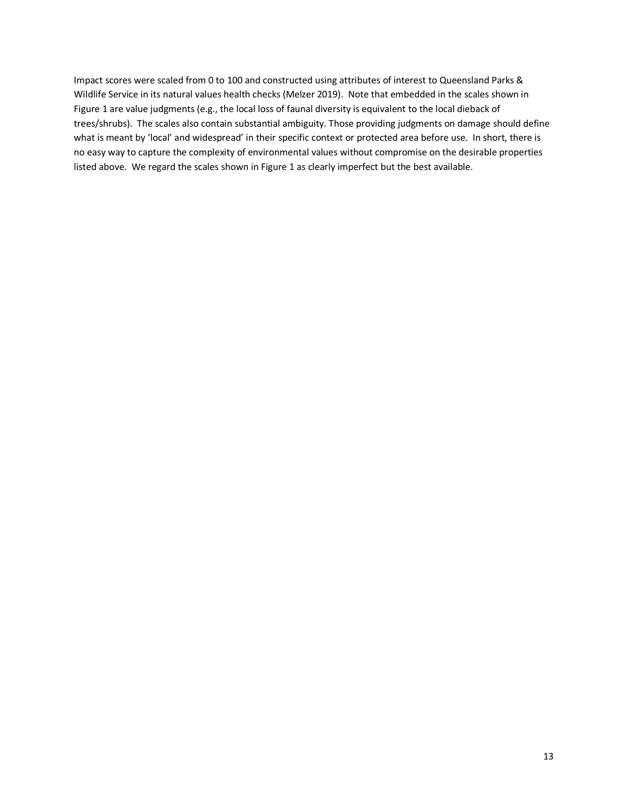Impact scores were scaled from 0 to 100 and constructed using attributes of interest to Queensland Parks & Wildlife Service in its natural values health checks (Melzer 2019). Note that embedded in the scales shown in Figure 1 are value judgments (e.g., the local loss of faunal diversity is equivalent to the local dieback of trees/shrubs). The scales also contain substantial ambiguity. Those providing judgments on damage should define what is meant by 'local' and widespread' in their specific context or protected area before use. In short, there is no easy way to capture the complexity of environmental values without compromise on the desirable properties listed above. We regard the scales shown in Figure 1 as clearly imperfect but the best available.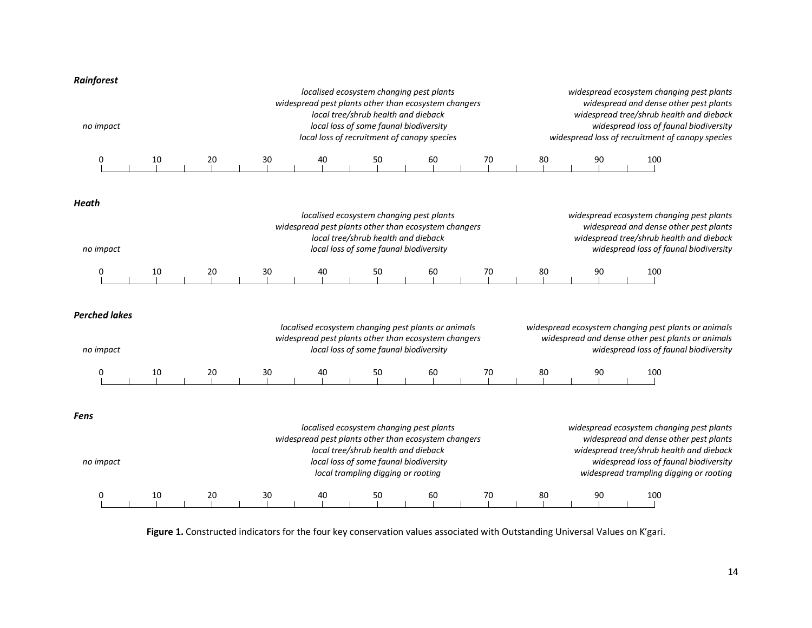| <b>Rainforest</b>    |                |    |    |    |                                                                                                                                                                                                                                  |                                                                                                             |  |                                                                           |  |                                                                                                                                                                                                                               |    |  |    |  |    |  |     |                                                                                                                                                                                                                      |
|----------------------|----------------|----|----|----|----------------------------------------------------------------------------------------------------------------------------------------------------------------------------------------------------------------------------------|-------------------------------------------------------------------------------------------------------------|--|---------------------------------------------------------------------------|--|-------------------------------------------------------------------------------------------------------------------------------------------------------------------------------------------------------------------------------|----|--|----|--|----|--|-----|----------------------------------------------------------------------------------------------------------------------------------------------------------------------------------------------------------------------|
|                      | no impact      |    |    |    | localised ecosystem changing pest plants<br>widespread pest plants other than ecosystem changers<br>local tree/shrub health and dieback<br>local loss of some faunal biodiversity<br>local loss of recruitment of canopy species |                                                                                                             |  |                                                                           |  | widespread ecosystem changing pest plants<br>widespread and dense other pest plants<br>widespread tree/shrub health and dieback<br>widespread loss of faunal biodiversity<br>widespread loss of recruitment of canopy species |    |  |    |  |    |  |     |                                                                                                                                                                                                                      |
|                      | 0              | 10 | 20 | 30 |                                                                                                                                                                                                                                  | 40                                                                                                          |  | 50                                                                        |  | 60                                                                                                                                                                                                                            | 70 |  | 80 |  | 90 |  | 100 |                                                                                                                                                                                                                      |
| Heath                |                |    |    |    |                                                                                                                                                                                                                                  | localised ecosystem changing pest plants<br>widespread pest plants other than ecosystem changers            |  | local tree/shrub health and dieback                                       |  |                                                                                                                                                                                                                               |    |  |    |  |    |  |     | widespread ecosystem changing pest plants<br>widespread and dense other pest plants<br>widespread tree/shrub health and dieback                                                                                      |
|                      | no impact<br>0 | 10 | 20 | 30 |                                                                                                                                                                                                                                  | 40                                                                                                          |  | 50                                                                        |  | local loss of some faunal biodiversity<br>60                                                                                                                                                                                  | 70 |  | 80 |  | 90 |  | 100 | widespread loss of faunal biodiversity                                                                                                                                                                               |
| <b>Perched lakes</b> | no impact      |    |    |    |                                                                                                                                                                                                                                  | localised ecosystem changing pest plants or animals<br>widespread pest plants other than ecosystem changers |  |                                                                           |  | local loss of some faunal biodiversity                                                                                                                                                                                        |    |  |    |  |    |  |     | widespread ecosystem changing pest plants or animals<br>widespread and dense other pest plants or animals<br>widespread loss of faunal biodiversity                                                                  |
|                      | Ω              | 10 | 20 | 30 |                                                                                                                                                                                                                                  | 40                                                                                                          |  | 50                                                                        |  | 60                                                                                                                                                                                                                            | 70 |  | 80 |  | 90 |  | 100 |                                                                                                                                                                                                                      |
| Fens                 | no impact      |    |    |    |                                                                                                                                                                                                                                  | localised ecosystem changing pest plants<br>widespread pest plants other than ecosystem changers            |  | local tree/shrub health and dieback<br>local trampling digging or rooting |  | local loss of some faunal biodiversity                                                                                                                                                                                        |    |  |    |  |    |  |     | widespread ecosystem changing pest plants<br>widespread and dense other pest plants<br>widespread tree/shrub health and dieback<br>widespread loss of faunal biodiversity<br>widespread trampling digging or rooting |
|                      | 0              | 10 | 20 | 30 |                                                                                                                                                                                                                                  | 40                                                                                                          |  | 50                                                                        |  | 60                                                                                                                                                                                                                            | 70 |  | 80 |  | 90 |  | 100 |                                                                                                                                                                                                                      |

**Figure 1.** Constructed indicators for the four key conservation values associated with Outstanding Universal Values on K'gari.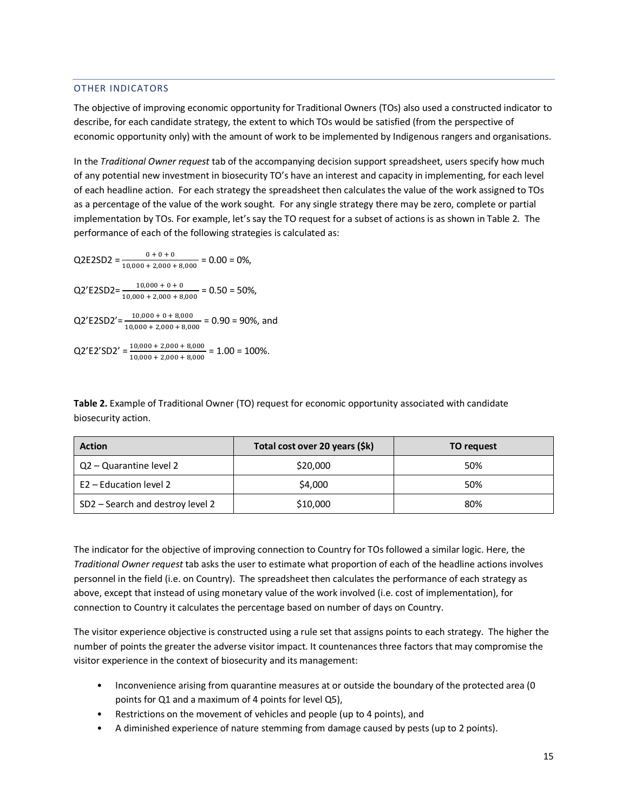#### <span id="page-14-0"></span>OTHER INDICATORS

The objective of improving economic opportunity for Traditional Owners (TOs) also used a constructed indicator to describe, for each candidate strategy, the extent to which TOs would be satisfied (from the perspective of economic opportunity only) with the amount of work to be implemented by Indigenous rangers and organisations.

In the *Traditional Owner request* tab of the accompanying decision support spreadsheet, users specify how much of any potential new investment in biosecurity TO's have an interest and capacity in implementing, for each level of each headline action. For each strategy the spreadsheet then calculates the value of the work assigned to TOs as a percentage of the value of the work sought. For any single strategy there may be zero, complete or partial implementation by TOs. For example, let's say the TO request for a subset of actions is as shown in Table 2. The performance of each of the following strategies is calculated as:

 $Q2E2SD2 = \frac{0+0+0}{10,000+2,000+8,000} = 0.00 = 0\%,$  $Q2'E2SD2 = \frac{10,000 + 0 + 0}{10,000 + 2,000 + 8,000} = 0.50 = 50\%,$ Q2'E2SD2'= $\frac{10,000+0+8,000}{10,000+2,000+8,000}$  = 0.90 = 90%, and Q2'E2'SD2' =  $\frac{10,000 + 2,000 + 8,000}{10,000 + 2,000 + 8,000}$  = 1.00 = 100%.

**Table 2.** Example of Traditional Owner (TO) request for economic opportunity associated with candidate biosecurity action.

| <b>Action</b>                    | Total cost over 20 years (\$k) | TO request |
|----------------------------------|--------------------------------|------------|
| Q2 – Quarantine level 2          | \$20,000                       | 50%        |
| E2 – Education level 2           | \$4,000                        | 50%        |
| SD2 - Search and destroy level 2 | \$10,000                       | 80%        |

The indicator for the objective of improving connection to Country for TOs followed a similar logic. Here, the *Traditional Owner request* tab asks the user to estimate what proportion of each of the headline actions involves personnel in the field (i.e. on Country). The spreadsheet then calculates the performance of each strategy as above, except that instead of using monetary value of the work involved (i.e. cost of implementation), for connection to Country it calculates the percentage based on number of days on Country.

The visitor experience objective is constructed using a rule set that assigns points to each strategy. The higher the number of points the greater the adverse visitor impact. It countenances three factors that may compromise the visitor experience in the context of biosecurity and its management:

- Inconvenience arising from quarantine measures at or outside the boundary of the protected area (0 points for Q1 and a maximum of 4 points for level Q5),
- Restrictions on the movement of vehicles and people (up to 4 points), and
- A diminished experience of nature stemming from damage caused by pests (up to 2 points).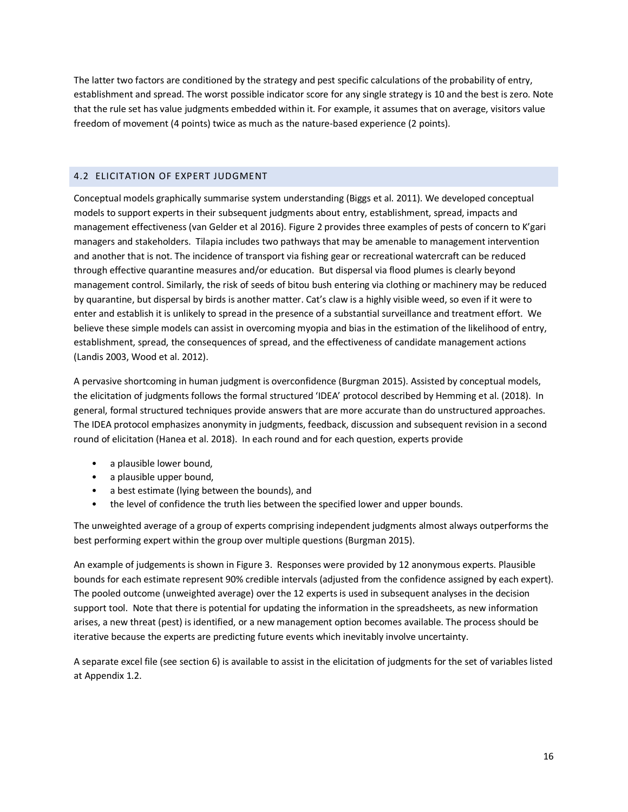The latter two factors are conditioned by the strategy and pest specific calculations of the probability of entry, establishment and spread. The worst possible indicator score for any single strategy is 10 and the best is zero. Note that the rule set has value judgments embedded within it. For example, it assumes that on average, visitors value freedom of movement (4 points) twice as much as the nature-based experience (2 points).

#### <span id="page-15-0"></span>4.2 ELICITATION OF EXPERT JUDGMENT

Conceptual models graphically summarise system understanding (Biggs et al. 2011). We developed conceptual models to support experts in their subsequent judgments about entry, establishment, spread, impacts and management effectiveness (van Gelder et al 2016). Figure 2 provides three examples of pests of concern to K'gari managers and stakeholders. Tilapia includes two pathways that may be amenable to management intervention and another that is not. The incidence of transport via fishing gear or recreational watercraft can be reduced through effective quarantine measures and/or education. But dispersal via flood plumes is clearly beyond management control. Similarly, the risk of seeds of bitou bush entering via clothing or machinery may be reduced by quarantine, but dispersal by birds is another matter. Cat's claw is a highly visible weed, so even if it were to enter and establish it is unlikely to spread in the presence of a substantial surveillance and treatment effort. We believe these simple models can assist in overcoming myopia and bias in the estimation of the likelihood of entry, establishment, spread, the consequences of spread, and the effectiveness of candidate management actions (Landis 2003, Wood et al. 2012).

A pervasive shortcoming in human judgment is overconfidence (Burgman 2015). Assisted by conceptual models, the elicitation of judgments follows the formal structured 'IDEA' protocol described by Hemming et al. (2018). In general, formal structured techniques provide answers that are more accurate than do unstructured approaches. The IDEA protocol emphasizes anonymity in judgments, feedback, discussion and subsequent revision in a second round of elicitation (Hanea et al. 2018). In each round and for each question, experts provide

- a plausible lower bound,
- a plausible upper bound,
- a best estimate (lying between the bounds), and
- the level of confidence the truth lies between the specified lower and upper bounds.

The unweighted average of a group of experts comprising independent judgments almost always outperforms the best performing expert within the group over multiple questions (Burgman 2015).

An example of judgements is shown in Figure 3. Responses were provided by 12 anonymous experts. Plausible bounds for each estimate represent 90% credible intervals (adjusted from the confidence assigned by each expert). The pooled outcome (unweighted average) over the 12 experts is used in subsequent analyses in the decision support tool. Note that there is potential for updating the information in the spreadsheets, as new information arises, a new threat (pest) is identified, or a new management option becomes available. The process should be iterative because the experts are predicting future events which inevitably involve uncertainty.

A separate excel file (see section 6) is available to assist in the elicitation of judgments for the set of variables listed at Appendix 1.2.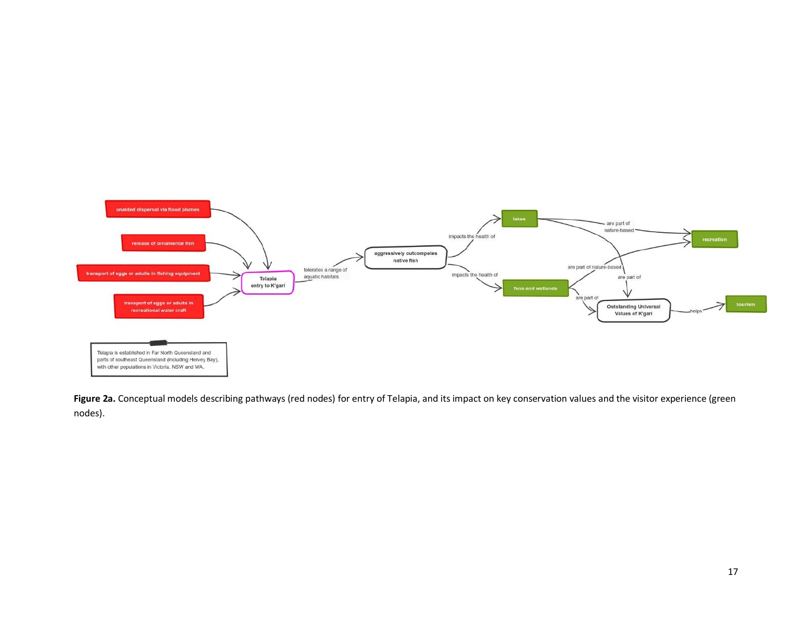

Figure 2a. Conceptual models describing pathways (red nodes) for entry of Telapia, and its impact on key conservation values and the visitor experience (green nodes).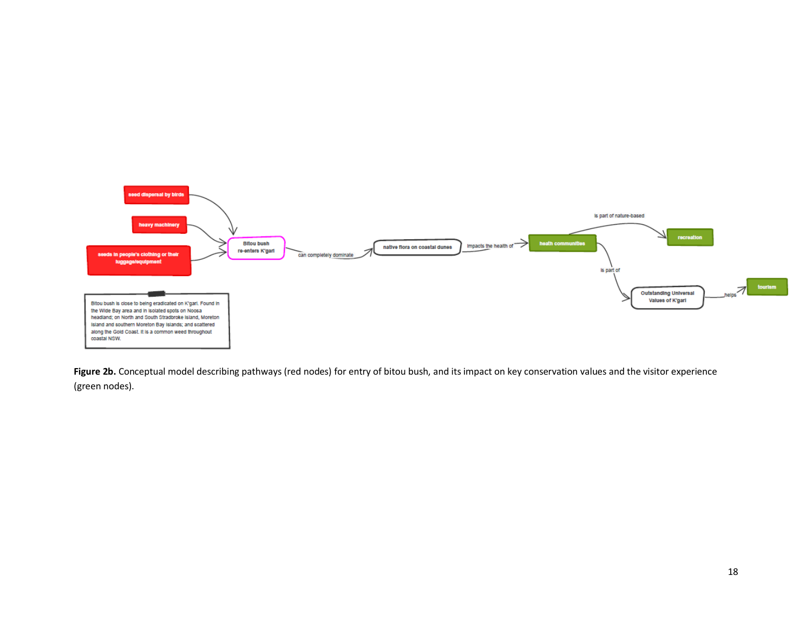

Figure 2b. Conceptual model describing pathways (red nodes) for entry of bitou bush, and its impact on key conservation values and the visitor experience (green nodes).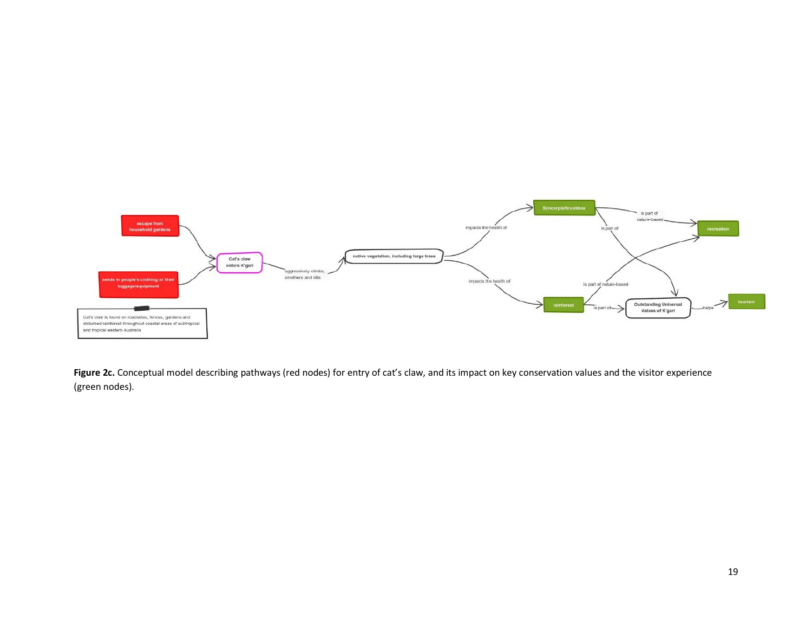

Figure 2c. Conceptual model describing pathways (red nodes) for entry of cat's claw, and its impact on key conservation values and the visitor experience (green nodes).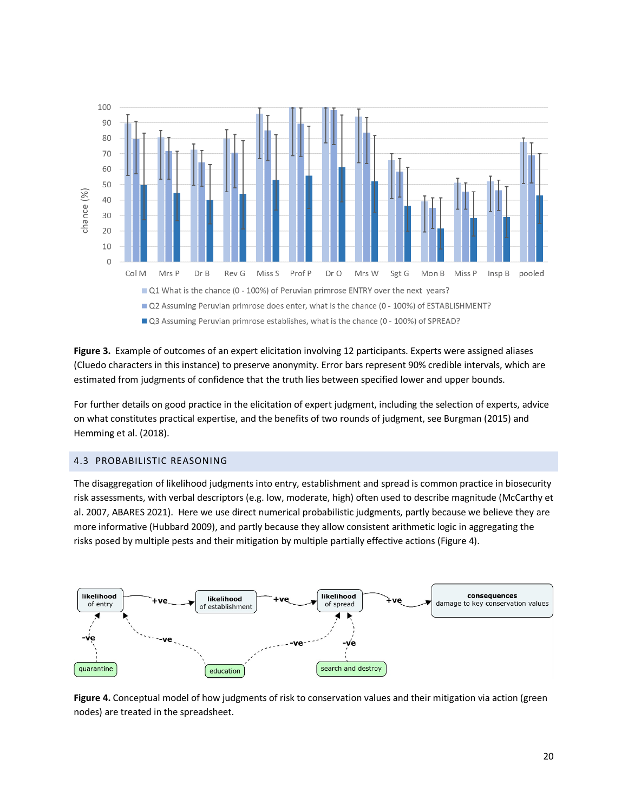

**Figure 3.** Example of outcomes of an expert elicitation involving 12 participants. Experts were assigned aliases (Cluedo characters in this instance) to preserve anonymity. Error bars represent 90% credible intervals, which are estimated from judgments of confidence that the truth lies between specified lower and upper bounds.

For further details on good practice in the elicitation of expert judgment, including the selection of experts, advice on what constitutes practical expertise, and the benefits of two rounds of judgment, see Burgman (2015) and Hemming et al. (2018).

#### <span id="page-19-0"></span>4.3 PROBABILISTIC REASONING

The disaggregation of likelihood judgments into entry, establishment and spread is common practice in biosecurity risk assessments, with verbal descriptors (e.g. low, moderate, high) often used to describe magnitude (McCarthy et al. 2007, ABARES 2021). Here we use direct numerical probabilistic judgments, partly because we believe they are more informative (Hubbard 2009), and partly because they allow consistent arithmetic logic in aggregating the risks posed by multiple pests and their mitigation by multiple partially effective actions (Figure 4).



**Figure 4.** Conceptual model of how judgments of risk to conservation values and their mitigation via action (green nodes) are treated in the spreadsheet.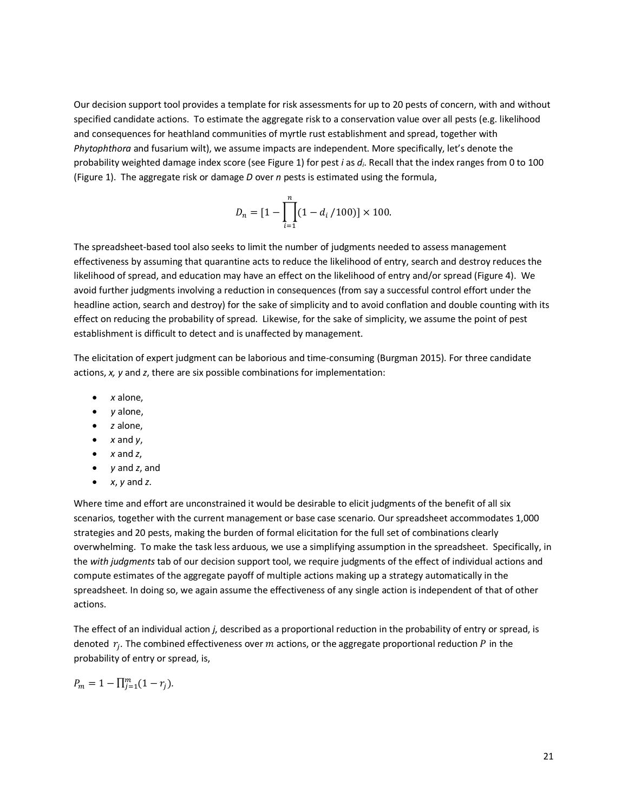Our decision support tool provides a template for risk assessments for up to 20 pests of concern, with and without specified candidate actions. To estimate the aggregate risk to a conservation value over all pests (e.g. likelihood and consequences for heathland communities of myrtle rust establishment and spread, together with *Phytophthora* and fusarium wilt), we assume impacts are independent. More specifically, let's denote the probability weighted damage index score (see Figure 1) for pest *i* as *di*. Recall that the index ranges from 0 to 100 (Figure 1). The aggregate risk or damage *D* over *n* pests is estimated using the formula,

$$
D_n = [1 - \prod_{i=1}^n (1 - d_i / 100)] \times 100.
$$

The spreadsheet-based tool also seeks to limit the number of judgments needed to assess management effectiveness by assuming that quarantine acts to reduce the likelihood of entry, search and destroy reduces the likelihood of spread, and education may have an effect on the likelihood of entry and/or spread (Figure 4). We avoid further judgments involving a reduction in consequences (from say a successful control effort under the headline action, search and destroy) for the sake of simplicity and to avoid conflation and double counting with its effect on reducing the probability of spread. Likewise, for the sake of simplicity, we assume the point of pest establishment is difficult to detect and is unaffected by management.

The elicitation of expert judgment can be laborious and time-consuming (Burgman 2015). For three candidate actions, *x, y* and *z*, there are six possible combinations for implementation:

- *x* alone,
- *y* alone,
- *z* alone,
- *x* and *y*,
- *x* and *z*,
- *y* and *z*, and
- $x, y$  and  $z$ .

Where time and effort are unconstrained it would be desirable to elicit judgments of the benefit of all six scenarios, together with the current management or base case scenario. Our spreadsheet accommodates 1,000 strategies and 20 pests, making the burden of formal elicitation for the full set of combinations clearly overwhelming. To make the task less arduous, we use a simplifying assumption in the spreadsheet. Specifically, in the *with judgments* tab of our decision support tool, we require judgments of the effect of individual actions and compute estimates of the aggregate payoff of multiple actions making up a strategy automatically in the spreadsheet. In doing so, we again assume the effectiveness of any single action is independent of that of other actions.

The effect of an individual action *j*, described as a proportional reduction in the probability of entry or spread, is denoted  $r_i$ . The combined effectiveness over  $m$  actions, or the aggregate proportional reduction  $P$  in the probability of entry or spread, is,

 $P_m = 1 - \prod_{j=1}^m (1 - r_j).$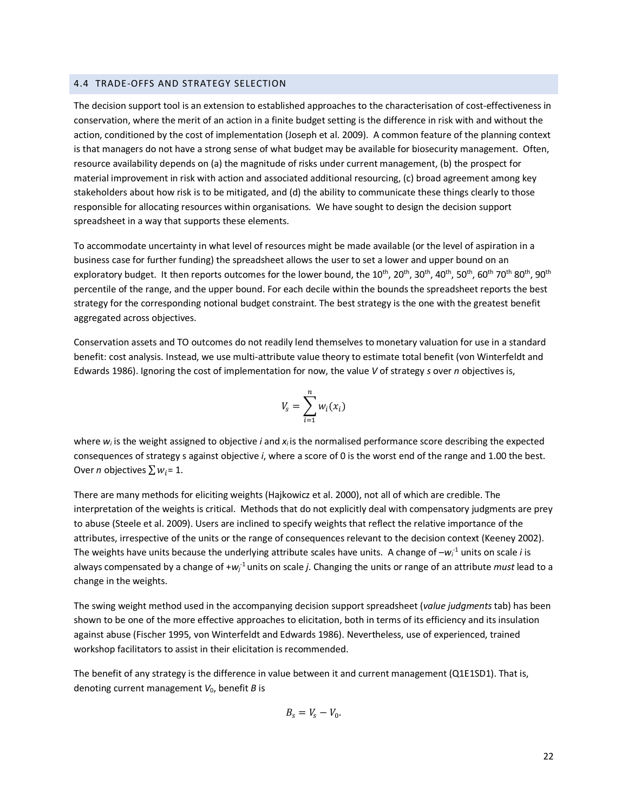#### <span id="page-21-0"></span>4.4 TRADE-OFFS AND STRATEGY SELECTION

The decision support tool is an extension to established approaches to the characterisation of cost-effectiveness in conservation, where the merit of an action in a finite budget setting is the difference in risk with and without the action, conditioned by the cost of implementation (Joseph et al. 2009). A common feature of the planning context is that managers do not have a strong sense of what budget may be available for biosecurity management. Often, resource availability depends on (a) the magnitude of risks under current management, (b) the prospect for material improvement in risk with action and associated additional resourcing, (c) broad agreement among key stakeholders about how risk is to be mitigated, and (d) the ability to communicate these things clearly to those responsible for allocating resources within organisations. We have sought to design the decision support spreadsheet in a way that supports these elements.

To accommodate uncertainty in what level of resources might be made available (or the level of aspiration in a business case for further funding) the spreadsheet allows the user to set a lower and upper bound on an exploratory budget. It then reports outcomes for the lower bound, the 10<sup>th</sup>, 20<sup>th</sup>, 30<sup>th</sup>, 40<sup>th</sup>, 50<sup>th</sup>, 60<sup>th</sup> 70<sup>th</sup> 80<sup>th</sup>, 90<sup>th</sup> percentile of the range, and the upper bound. For each decile within the bounds the spreadsheet reports the best strategy for the corresponding notional budget constraint. The best strategy is the one with the greatest benefit aggregated across objectives.

Conservation assets and TO outcomes do not readily lend themselves to monetary valuation for use in a standard benefit: cost analysis. Instead, we use multi-attribute value theory to estimate total benefit (von Winterfeldt and Edwards 1986). Ignoring the cost of implementation for now, the value *V* of strategy *s* over *n* objectives is,

$$
V_s = \sum_{i=1}^n w_i(x_i)
$$

where *wi* is the weight assigned to objective *i* and *xi* is the normalised performance score describing the expected consequences of strategy s against objective *i*, where a score of 0 is the worst end of the range and 1.00 the best. Over *n* objectives  $\sum w_i = 1$ .

There are many methods for eliciting weights (Hajkowicz et al. 2000), not all of which are credible. The interpretation of the weights is critical. Methods that do not explicitly deal with compensatory judgments are prey to abuse (Steele et al. 2009). Users are inclined to specify weights that reflect the relative importance of the attributes, irrespective of the units or the range of consequences relevant to the decision context (Keeney 2002). The weights have units because the underlying attribute scales have units. A change of  $-w_i^{-1}$  units on scale *i* is always compensated by a change of +w<sub>j</sub><sup>1</sup> units on scale *j*. Changing the units or range of an attribute *must* lead to a change in the weights.

The swing weight method used in the accompanying decision support spreadsheet (*value judgments* tab) has been shown to be one of the more effective approaches to elicitation, both in terms of its efficiency and its insulation against abuse (Fischer 1995, von Winterfeldt and Edwards 1986). Nevertheless, use of experienced, trained workshop facilitators to assist in their elicitation is recommended.

The benefit of any strategy is the difference in value between it and current management (Q1E1SD1). That is, denoting current management  $V_0$ , benefit *B* is

$$
B_s = V_s - V_0.
$$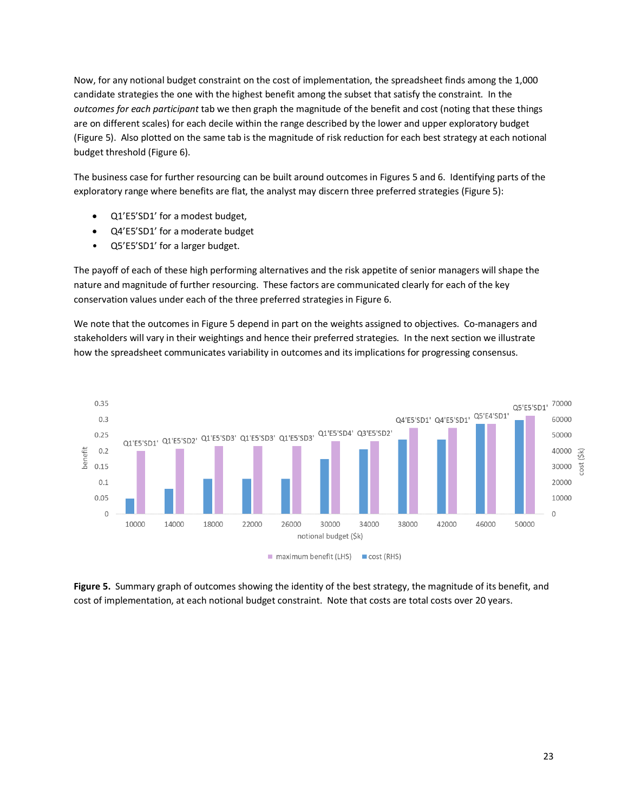Now, for any notional budget constraint on the cost of implementation, the spreadsheet finds among the 1,000 candidate strategies the one with the highest benefit among the subset that satisfy the constraint. In the *outcomes for each participant* tab we then graph the magnitude of the benefit and cost (noting that these things are on different scales) for each decile within the range described by the lower and upper exploratory budget (Figure 5). Also plotted on the same tab is the magnitude of risk reduction for each best strategy at each notional budget threshold (Figure 6).

The business case for further resourcing can be built around outcomes in Figures 5 and 6. Identifying parts of the exploratory range where benefits are flat, the analyst may discern three preferred strategies (Figure 5):

- Q1'E5'SD1' for a modest budget,
- Q4'E5'SD1' for a moderate budget
- Q5'E5'SD1' for a larger budget.

The payoff of each of these high performing alternatives and the risk appetite of senior managers will shape the nature and magnitude of further resourcing. These factors are communicated clearly for each of the key conservation values under each of the three preferred strategies in Figure 6.

We note that the outcomes in Figure 5 depend in part on the weights assigned to objectives. Co-managers and stakeholders will vary in their weightings and hence their preferred strategies. In the next section we illustrate how the spreadsheet communicates variability in outcomes and its implications for progressing consensus.



**Figure 5.** Summary graph of outcomes showing the identity of the best strategy, the magnitude of its benefit, and cost of implementation, at each notional budget constraint. Note that costs are total costs over 20 years.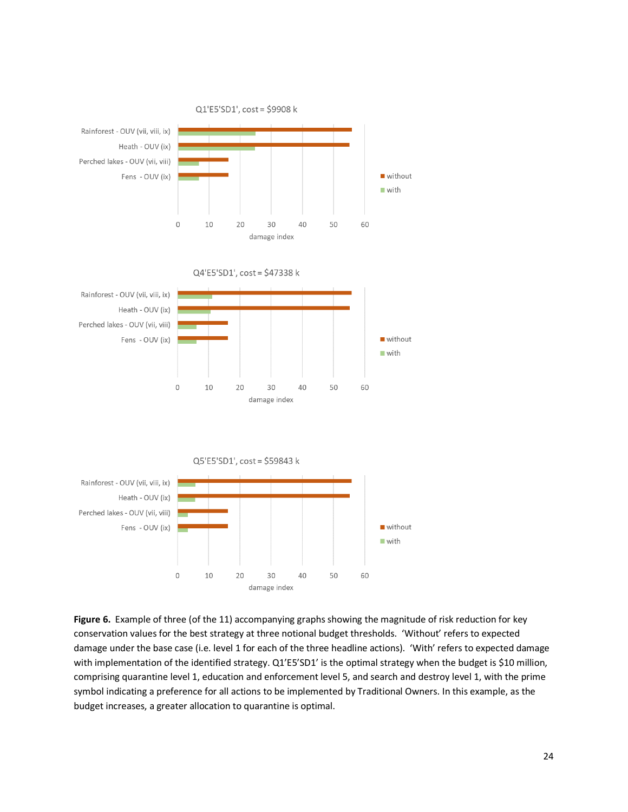

**Figure 6.** Example of three (of the 11) accompanying graphs showing the magnitude of risk reduction for key conservation values for the best strategy at three notional budget thresholds. 'Without' refers to expected damage under the base case (i.e. level 1 for each of the three headline actions). 'With' refers to expected damage with implementation of the identified strategy. Q1'E5'SD1' is the optimal strategy when the budget is \$10 million, comprising quarantine level 1, education and enforcement level 5, and search and destroy level 1, with the prime symbol indicating a preference for all actions to be implemented by Traditional Owners. In this example, as the budget increases, a greater allocation to quarantine is optimal.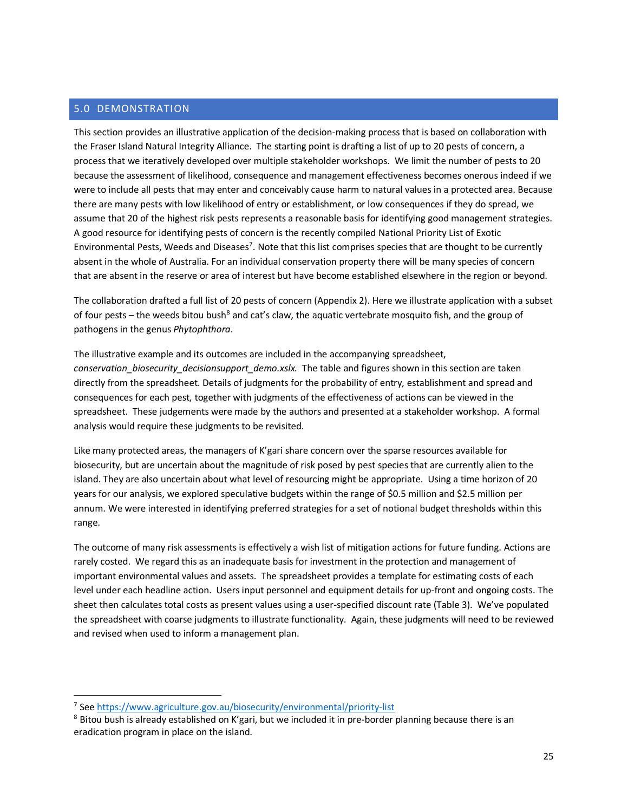#### <span id="page-24-0"></span>5.0 DEMONSTRATION

This section provides an illustrative application of the decision-making process that is based on collaboration with the Fraser Island Natural Integrity Alliance. The starting point is drafting a list of up to 20 pests of concern, a process that we iteratively developed over multiple stakeholder workshops. We limit the number of pests to 20 because the assessment of likelihood, consequence and management effectiveness becomes onerous indeed if we were to include all pests that may enter and conceivably cause harm to natural values in a protected area. Because there are many pests with low likelihood of entry or establishment, or low consequences if they do spread, we assume that 20 of the highest risk pests represents a reasonable basis for identifying good management strategies. A good resource for identifying pests of concern is the recently compiled National Priority List of Exotic Environmental Pests, Weeds and Diseases<sup>[7](#page-24-1)</sup>. Note that this list comprises species that are thought to be currently absent in the whole of Australia. For an individual conservation property there will be many species of concern that are absent in the reserve or area of interest but have become established elsewhere in the region or beyond.

The collaboration drafted a full list of 20 pests of concern (Appendix 2). Here we illustrate application with a subset of four pests – the weeds bitou bush<sup>[8](#page-24-2)</sup> and cat's claw, the aquatic vertebrate mosquito fish, and the group of pathogens in the genus *Phytophthora*.

The illustrative example and its outcomes are included in the accompanying spreadsheet, *conservation\_biosecurity\_decisionsupport\_demo.xslx.* The table and figures shown in this section are taken directly from the spreadsheet. Details of judgments for the probability of entry, establishment and spread and consequences for each pest, together with judgments of the effectiveness of actions can be viewed in the spreadsheet. These judgements were made by the authors and presented at a stakeholder workshop. A formal analysis would require these judgments to be revisited.

Like many protected areas, the managers of K'gari share concern over the sparse resources available for biosecurity, but are uncertain about the magnitude of risk posed by pest species that are currently alien to the island. They are also uncertain about what level of resourcing might be appropriate. Using a time horizon of 20 years for our analysis, we explored speculative budgets within the range of \$0.5 million and \$2.5 million per annum. We were interested in identifying preferred strategies for a set of notional budget thresholds within this range.

The outcome of many risk assessments is effectively a wish list of mitigation actions for future funding. Actions are rarely costed. We regard this as an inadequate basis for investment in the protection and management of important environmental values and assets. The spreadsheet provides a template for estimating costs of each level under each headline action. Users input personnel and equipment details for up-front and ongoing costs. The sheet then calculates total costs as present values using a user-specified discount rate (Table 3). We've populated the spreadsheet with coarse judgments to illustrate functionality. Again, these judgments will need to be reviewed and revised when used to inform a management plan.

<span id="page-24-1"></span><sup>7</sup> Se[e https://www.agriculture.gov.au/biosecurity/environmental/priority-list](https://www.agriculture.gov.au/biosecurity/environmental/priority-list)

<span id="page-24-2"></span><sup>&</sup>lt;sup>8</sup> Bitou bush is already established on K'gari, but we included it in pre-border planning because there is an eradication program in place on the island.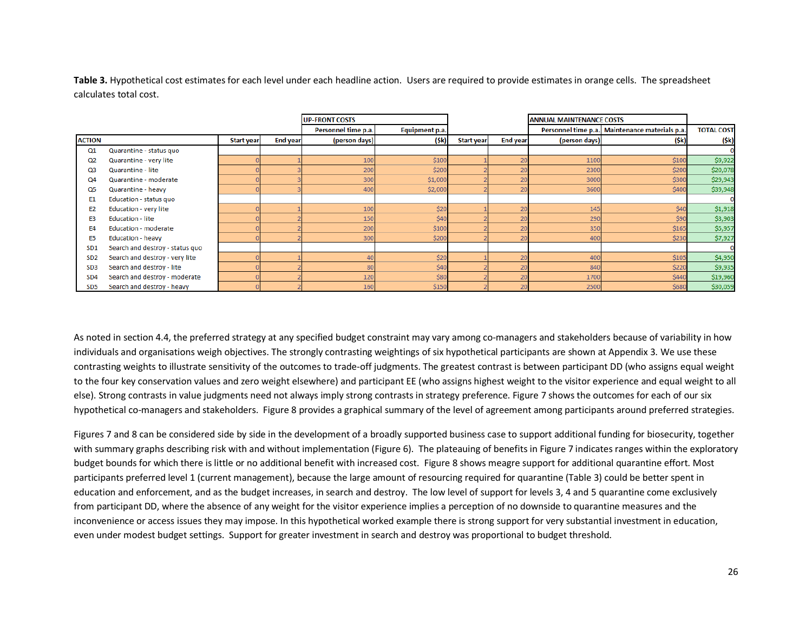**Table 3.** Hypothetical cost estimates for each level under each headline action. Users are required to provide estimates in orange cells. The spreadsheet calculates total cost.

|                 |                                 |                   |                 | <b>UP-FRONT COSTS</b> |                |            |                 | <b>ANNUAL MAINTENANCE COSTS</b> |                                                |                   |
|-----------------|---------------------------------|-------------------|-----------------|-----------------------|----------------|------------|-----------------|---------------------------------|------------------------------------------------|-------------------|
|                 |                                 |                   |                 | Personnel time p.a.   | Equipment p.a. |            |                 |                                 | Personnel time p.a. Maintenance materials p.a. | <b>TOTAL COST</b> |
| <b>ACTION</b>   |                                 | <b>Start year</b> | <b>End year</b> | (person days)         | (Sk)           | Start year | <b>End year</b> | (person days)                   | (\$k)                                          | (Sk)              |
| Q1              | Quarantine - status quo         |                   |                 |                       |                |            |                 |                                 |                                                |                   |
| Q <sub>2</sub>  | Quarantine - very lite          |                   |                 | 100                   | \$100          |            | 20              | 1100                            | \$100                                          | \$9,922           |
| Q3              | Quarantine - lite               |                   |                 | 200                   | \$200          |            |                 | 2300                            | \$200                                          | \$20,078          |
| Q4              | Quarantine - moderate           |                   |                 | 300                   | \$1,000        |            |                 | 3000                            | \$300                                          | \$29,943          |
| Q <sub>5</sub>  | Quarantine - heavy              |                   |                 | 400                   | \$2,000        |            | 20              | 3600                            | \$400                                          | \$39,948          |
| E1              | Education - status quo          |                   |                 |                       |                |            |                 |                                 |                                                |                   |
| E2              | Education - very lite           |                   |                 | 100                   | \$20           |            | 20              | 145                             | \$40                                           | \$1,918           |
| E3              | <b>Education - lite</b>         |                   |                 | 150                   | \$40           |            | 20              | 290                             | \$90                                           | \$3,903           |
| E4              | Education - moderate            |                   |                 | 200                   | \$100          |            | 20              | 350                             | \$165                                          | \$5,957           |
| E5              | Education - heavy               |                   |                 | 300                   | \$200          |            | 20              | 400                             | \$230                                          | \$7,927           |
| SD <sub>1</sub> | Search and destroy - status quo |                   |                 |                       |                |            |                 |                                 |                                                |                   |
| SD <sub>2</sub> | Search and destroy - very lite  |                   |                 | 40                    | \$20           |            | 20              | 400                             | \$105                                          | \$4,950           |
| SD <sub>3</sub> | Search and destroy - lite       |                   |                 | 80                    | \$40           |            | 20              | 840                             | \$220                                          | \$9,935           |
| SD <sub>4</sub> | Search and destroy - moderate   |                   |                 | 120                   | \$80           |            | 20              | 1700                            | \$440                                          | \$19,960          |
| SD <sub>5</sub> | Search and destroy - heavy      |                   |                 | 160                   | \$150          |            | 20              | 2500                            | \$680                                          | \$30,059          |

As noted in section 4.4, the preferred strategy at any specified budget constraint may vary among co-managers and stakeholders because of variability in how individuals and organisations weigh objectives. The strongly contrasting weightings of six hypothetical participants are shown at Appendix 3. We use these contrasting weights to illustrate sensitivity of the outcomes to trade-off judgments. The greatest contrast is between participant DD (who assigns equal weight to the four key conservation values and zero weight elsewhere) and participant EE (who assigns highest weight to the visitor experience and equal weight to all else). Strong contrasts in value judgments need not always imply strong contrasts in strategy preference. Figure 7 shows the outcomes for each of our six hypothetical co-managers and stakeholders. Figure 8 provides a graphical summary of the level of agreement among participants around preferred strategies.

Figures 7 and 8 can be considered side by side in the development of a broadly supported business case to support additional funding for biosecurity, together with summary graphs describing risk with and without implementation (Figure 6). The plateauing of benefits in Figure 7 indicates ranges within the exploratory budget bounds for which there is little or no additional benefit with increased cost. Figure 8 shows meagre support for additional quarantine effort. Most participants preferred level 1 (current management), because the large amount of resourcing required for quarantine (Table 3) could be better spent in education and enforcement, and as the budget increases, in search and destroy. The low level of support for levels 3, 4 and 5 quarantine come exclusively from participant DD, where the absence of any weight for the visitor experience implies a perception of no downside to quarantine measures and the inconvenience or access issues they may impose. In this hypothetical worked example there is strong support for very substantial investment in education, even under modest budget settings. Support for greater investment in search and destroy was proportional to budget threshold.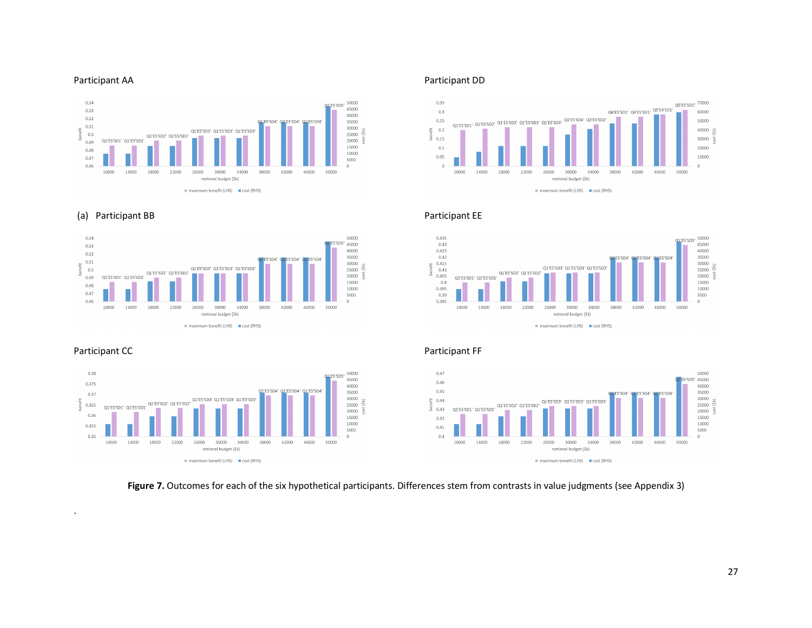

#### (a) Participant BB



#### Participant DD





# Participant CC

.



#### Participant FF



#### Figure 7. Outcomes for each of the six hypothetical participants. Differences stem from contrasts in value judgments (see Appendix 3)

# Participant EE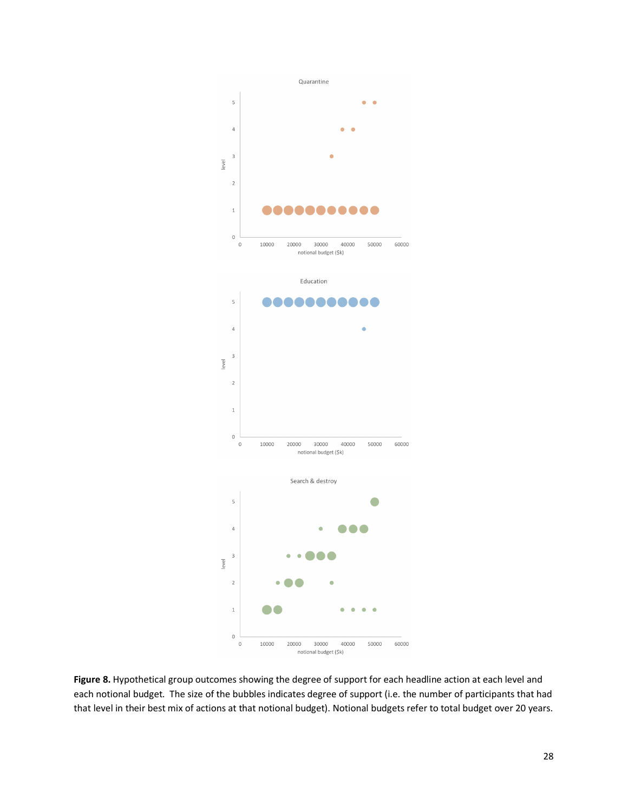

**Figure 8.** Hypothetical group outcomes showing the degree of support for each headline action at each level and each notional budget. The size of the bubbles indicates degree of support (i.e. the number of participants that had that level in their best mix of actions at that notional budget). Notional budgets refer to total budget over 20 years.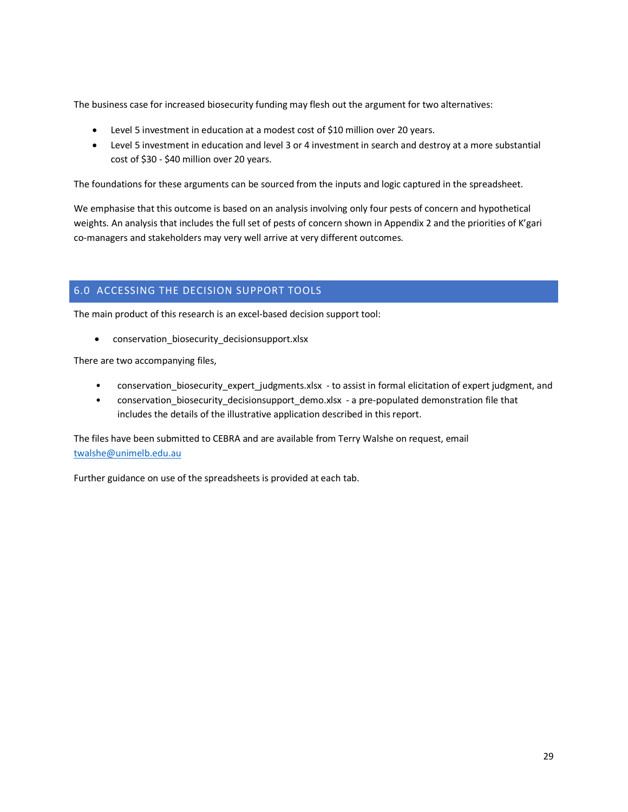The business case for increased biosecurity funding may flesh out the argument for two alternatives:

- Level 5 investment in education at a modest cost of \$10 million over 20 years.
- Level 5 investment in education and level 3 or 4 investment in search and destroy at a more substantial cost of \$30 - \$40 million over 20 years.

The foundations for these arguments can be sourced from the inputs and logic captured in the spreadsheet.

We emphasise that this outcome is based on an analysis involving only four pests of concern and hypothetical weights. An analysis that includes the full set of pests of concern shown in Appendix 2 and the priorities of K'gari co-managers and stakeholders may very well arrive at very different outcomes.

# <span id="page-28-0"></span>6.0 ACCESSING THE DECISION SUPPORT TOOLS

The main product of this research is an excel-based decision support tool:

• conservation\_biosecurity\_decisionsupport.xlsx

There are two accompanying files,

- conservation\_biosecurity\_expert\_judgments.xlsx to assist in formal elicitation of expert judgment, and
- conservation biosecurity decisionsupport demo.xlsx a pre-populated demonstration file that includes the details of the illustrative application described in this report.

The files have been submitted to CEBRA and are available from Terry Walshe on request, email [twalshe@unimelb.edu.au](mailto:twalshe@unimelb.edu.au)

Further guidance on use of the spreadsheets is provided at each tab.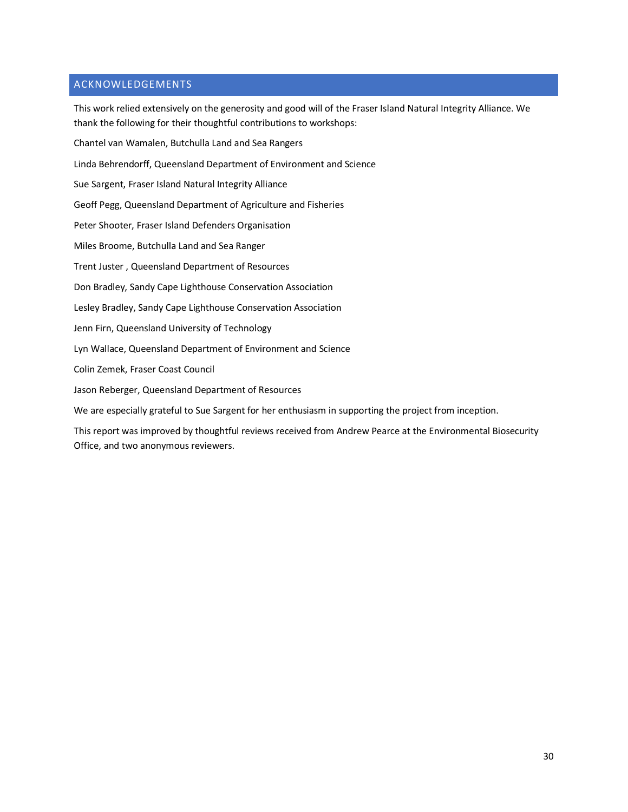## <span id="page-29-0"></span>ACKNOWLEDGEMENTS

This work relied extensively on the generosity and good will of the Fraser Island Natural Integrity Alliance. We thank the following for their thoughtful contributions to workshops: Chantel van Wamalen, Butchulla Land and Sea Rangers Linda Behrendorff, Queensland Department of Environment and Science Sue Sargent, Fraser Island Natural Integrity Alliance Geoff Pegg, Queensland Department of Agriculture and Fisheries Peter Shooter, Fraser Island Defenders Organisation Miles Broome, Butchulla Land and Sea Ranger Trent Juster , Queensland Department of Resources Don Bradley, Sandy Cape Lighthouse Conservation Association Lesley Bradley, Sandy Cape Lighthouse Conservation Association Jenn Firn, Queensland University of Technology Lyn Wallace, Queensland Department of Environment and Science Colin Zemek, Fraser Coast Council Jason Reberger, Queensland Department of Resources We are especially grateful to Sue Sargent for her enthusiasm in supporting the project from inception. This report was improved by thoughtful reviews received from Andrew Pearce at the Environmental Biosecurity Office, and two anonymous reviewers.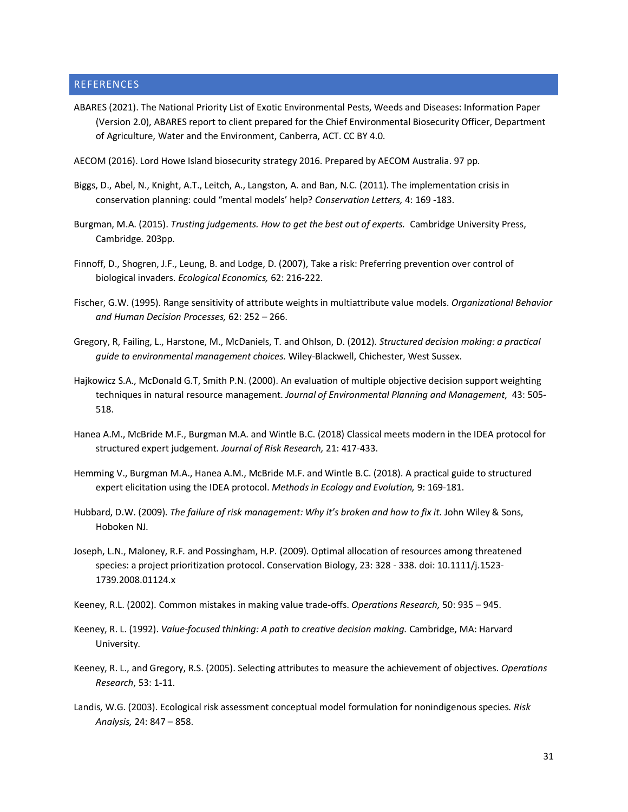#### <span id="page-30-0"></span>**REFERENCES**

- ABARES (2021). The National Priority List of Exotic Environmental Pests, Weeds and Diseases: Information Paper (Version 2.0), ABARES report to client prepared for the Chief Environmental Biosecurity Officer, Department of Agriculture, Water and the Environment, Canberra, ACT. CC BY 4.0.
- AECOM (2016). Lord Howe Island biosecurity strategy 2016. Prepared by AECOM Australia. 97 pp.
- Biggs, D., Abel, N., Knight, A.T., Leitch, A., Langston, A. and Ban, N.C. (2011). The implementation crisis in conservation planning: could "mental models' help? *Conservation Letters,* 4: 169 -183.
- Burgman, M.A. (2015). *Trusting judgements. How to get the best out of experts.* Cambridge University Press, Cambridge. 203pp.
- Finnoff, D., Shogren, J.F., Leung, B. and Lodge, D. (2007), Take a risk: Preferring prevention over control of biological invaders. *Ecological Economics,* 62: 216-222.
- Fischer, G.W. (1995). Range sensitivity of attribute weights in multiattribute value models. *Organizational Behavior and Human Decision Processes,* 62: 252 – 266.
- Gregory, R, Failing, L., Harstone, M., McDaniels, T. and Ohlson, D. (2012). *Structured decision making: a practical guide to environmental management choices.* Wiley-Blackwell, Chichester, West Sussex.
- Hajkowicz S.A., McDonald G.T, Smith P.N. (2000). An evaluation of multiple objective decision support weighting techniques in natural resource management. *Journal of Environmental Planning and Management*, 43: 505- 518.
- Hanea A.M., McBride M.F., Burgman M.A. and Wintle B.C. (2018) Classical meets modern in the IDEA protocol for structured expert judgement. *Journal of Risk Research,* 21: 417-433.
- Hemming V., Burgman M.A., Hanea A.M., McBride M.F. and Wintle B.C. (2018). A practical guide to structured expert elicitation using the IDEA protocol. *Methods in Ecology and Evolution,* 9: 169-181.
- Hubbard, D.W. (2009). *The failure of risk management: Why it's broken and how to fix it.* John Wiley & Sons, Hoboken NJ.
- Joseph, L.N., Maloney, R.F. and Possingham, H.P. (2009). Optimal allocation of resources among threatened species: a project prioritization protocol. Conservation Biology, 23: 328 - 338. doi: 10.1111/j.1523- 1739.2008.01124.x
- Keeney, R.L. (2002). Common mistakes in making value trade-offs. *Operations Research,* 50: 935 945.
- Keeney, R. L. (1992). *Value-focused thinking: A path to creative decision making.* Cambridge, MA: Harvard University.
- Keeney, R. L., and Gregory, R.S. (2005). Selecting attributes to measure the achievement of objectives. *Operations Research*, 53: 1-11.
- Landis, W.G. (2003). Ecological risk assessment conceptual model formulation for nonindigenous species*. Risk Analysis,* 24: 847 – 858.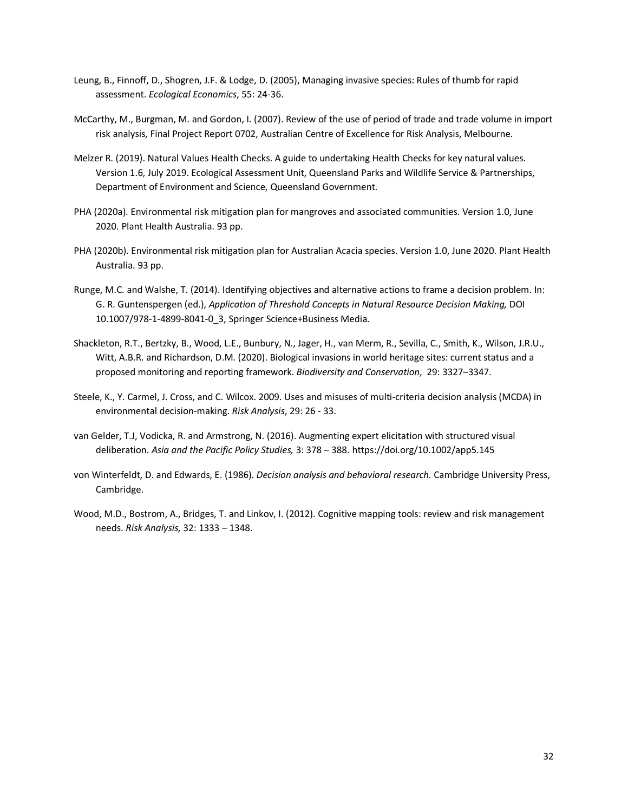- Leung, B., Finnoff, D., Shogren, J.F. & Lodge, D. (2005), Managing invasive species: Rules of thumb for rapid assessment. *Ecological Economics*, 55: 24-36.
- McCarthy, M., Burgman, M. and Gordon, I. (2007). Review of the use of period of trade and trade volume in import risk analysis, Final Project Report 0702, Australian Centre of Excellence for Risk Analysis, Melbourne.
- Melzer R. (2019). Natural Values Health Checks. A guide to undertaking Health Checks for key natural values. Version 1.6, July 2019. Ecological Assessment Unit, Queensland Parks and Wildlife Service & Partnerships, Department of Environment and Science, Queensland Government.
- PHA (2020a). Environmental risk mitigation plan for mangroves and associated communities. Version 1.0, June 2020. Plant Health Australia. 93 pp.
- PHA (2020b). Environmental risk mitigation plan for Australian Acacia species. Version 1.0, June 2020. Plant Health Australia. 93 pp.
- Runge, M.C. and Walshe, T. (2014). Identifying objectives and alternative actions to frame a decision problem. In: G. R. Guntenspergen (ed.), *Application of Threshold Concepts in Natural Resource Decision Making,* DOI 10.1007/978-1-4899-8041-0\_3, Springer Science+Business Media.
- Shackleton, R.T., Bertzky, B., Wood, L.E., Bunbury, N., Jager, H., van Merm, R., Sevilla, C., Smith, K., Wilson, J.R.U., Witt, A.B.R. and Richardson, D.M. (2020). Biological invasions in world heritage sites: current status and a proposed monitoring and reporting framework. *Biodiversity and Conservation*, 29: 3327–3347.
- Steele, K., Y. Carmel, J. Cross, and C. Wilcox. 2009. Uses and misuses of multi-criteria decision analysis (MCDA) in environmental decision-making. *Risk Analysis*, 29: 26 - 33.
- van Gelder, T.J, Vodicka, R. and Armstrong, N. (2016). Augmenting expert elicitation with structured visual deliberation. *Asia and the Pacific Policy Studies,* 3: 378 – 388. https://doi.org/10.1002/app5.145
- von Winterfeldt, D. and Edwards, E. (1986). *Decision analysis and behavioral research.* Cambridge University Press, Cambridge.
- Wood, M.D., Bostrom, A., Bridges, T. and Linkov, I. (2012). Cognitive mapping tools: review and risk management needs. *Risk Analysis,* 32: 1333 – 1348.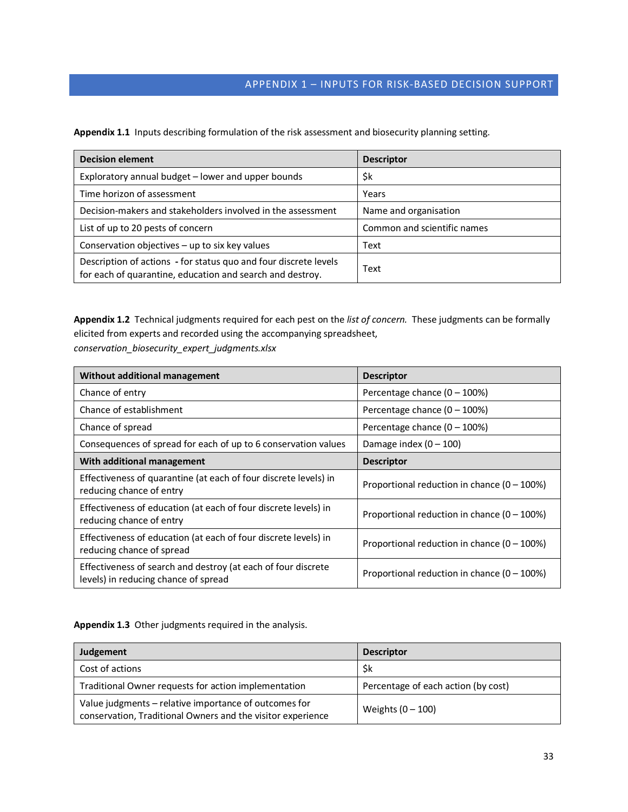# APPENDIX 1 – INPUTS FOR RISK-BASED DECISION SUPPORT

<span id="page-32-0"></span>**Appendix 1.1** Inputs describing formulation of the risk assessment and biosecurity planning setting.

| <b>Decision element</b>                                                                                                       | <b>Descriptor</b>           |
|-------------------------------------------------------------------------------------------------------------------------------|-----------------------------|
| Exploratory annual budget - lower and upper bounds                                                                            | \$k                         |
| Time horizon of assessment                                                                                                    | Years                       |
| Decision-makers and stakeholders involved in the assessment                                                                   | Name and organisation       |
| List of up to 20 pests of concern                                                                                             | Common and scientific names |
| Conservation objectives - up to six key values                                                                                | Text                        |
| Description of actions - for status quo and four discrete levels<br>for each of quarantine, education and search and destroy. | Text                        |

**Appendix 1.2** Technical judgments required for each pest on the *list of concern.* These judgments can be formally elicited from experts and recorded using the accompanying spreadsheet, *conservation\_biosecurity\_expert\_judgments.xlsx*

| Without additional management                                                                         | <b>Descriptor</b>                              |
|-------------------------------------------------------------------------------------------------------|------------------------------------------------|
| Chance of entry                                                                                       | Percentage chance $(0 - 100\%)$                |
| Chance of establishment                                                                               | Percentage chance $(0 - 100\%)$                |
| Chance of spread                                                                                      | Percentage chance (0 - 100%)                   |
| Consequences of spread for each of up to 6 conservation values                                        | Damage index $(0 - 100)$                       |
| With additional management                                                                            | <b>Descriptor</b>                              |
| Effectiveness of quarantine (at each of four discrete levels) in<br>reducing chance of entry          | Proportional reduction in chance $(0 - 100\%)$ |
| Effectiveness of education (at each of four discrete levels) in<br>reducing chance of entry           | Proportional reduction in chance $(0 - 100\%)$ |
| Effectiveness of education (at each of four discrete levels) in<br>reducing chance of spread          | Proportional reduction in chance $(0 - 100\%)$ |
| Effectiveness of search and destroy (at each of four discrete<br>levels) in reducing chance of spread | Proportional reduction in chance $(0 - 100\%)$ |

#### **Appendix 1.3** Other judgments required in the analysis.

| Judgement                                                                                                            | <b>Descriptor</b>                   |
|----------------------------------------------------------------------------------------------------------------------|-------------------------------------|
| Cost of actions                                                                                                      | \$k                                 |
| Traditional Owner requests for action implementation                                                                 | Percentage of each action (by cost) |
| Value judgments – relative importance of outcomes for<br>conservation, Traditional Owners and the visitor experience | Weights $(0 - 100)$                 |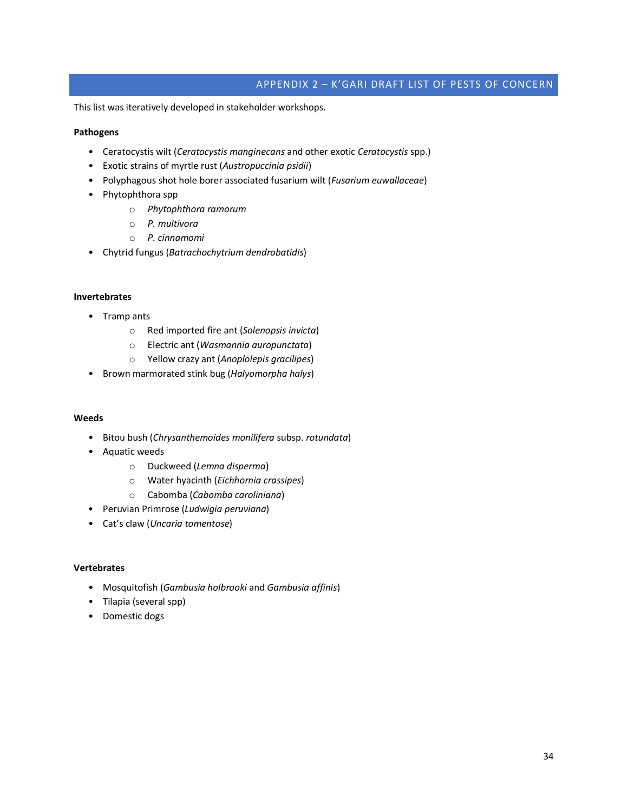# APPENDIX 2 – K'GARI DRAFT LIST OF PESTS OF CONCERN

<span id="page-33-0"></span>This list was iteratively developed in stakeholder workshops.

#### **Pathogens**

- Ceratocystis wilt (*Ceratocystis manginecans* and other exotic *Ceratocystis* spp.)
- Exotic strains of myrtle rust (*Austropuccinia psidii*)
- Polyphagous shot hole borer associated fusarium wilt (*Fusarium euwallaceae*)
- Phytophthora spp
	- o *Phytophthora ramorum*
	- o *P. multivora*
	- o *P. cinnamomi*
- Chytrid fungus (*Batrachochytrium dendrobatidis*)

#### **Invertebrates**

- Tramp ants
	- o Red imported fire ant (*Solenopsis invicta*)
	- o Electric ant (*Wasmannia auropunctata*)
	- o Yellow crazy ant (*Anoplolepis gracilipes*)
- Brown marmorated stink bug (*Halyomorpha halys*)

#### **Weeds**

- Bitou bush (*Chrysanthemoides monilifera* subsp. *rotundata*)
- Aquatic weeds
	- o Duckweed (*Lemna disperma*)
	- o Water hyacinth (*Eichhornia crassipes*)
	- o Cabomba (*Cabomba caroliniana*)
- Peruvian Primrose (*Ludwigia peruviana*)
- Cat's claw (*Uncaria tomentose*)

#### **Vertebrates**

- Mosquitofish (*Gambusia holbrooki* and *Gambusia affinis*)
- Tilapia (several spp)
- Domestic dogs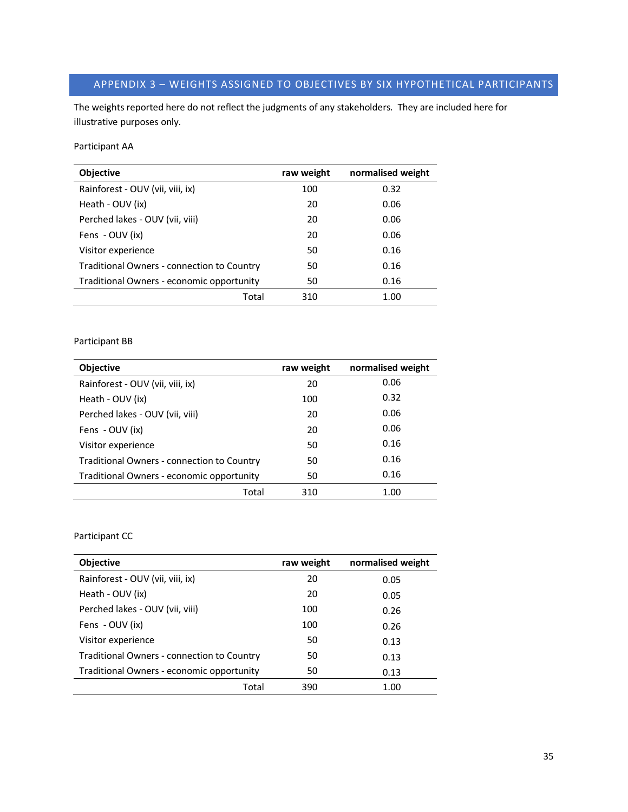# <span id="page-34-0"></span>APPENDIX 3 – WEIGHTS ASSIGNED TO OBJECTIVES BY SIX HYPOTHETICAL PARTICIPANTS

The weights reported here do not reflect the judgments of any stakeholders. They are included here for illustrative purposes only.

#### Participant AA

| Objective                                  | raw weight | normalised weight |
|--------------------------------------------|------------|-------------------|
| Rainforest - OUV (vii, viii, ix)           | 100        | 0.32              |
| Heath - OUV (ix)                           | 20         | 0.06              |
| Perched lakes - OUV (vii, viii)            | 20         | 0.06              |
| Fens - OUV (ix)                            | 20         | 0.06              |
| Visitor experience                         | 50         | 0.16              |
| Traditional Owners - connection to Country | 50         | 0.16              |
| Traditional Owners - economic opportunity  | 50         | 0.16              |
| Total                                      | 310        | 1.00              |

#### Participant BB

| Objective                                  | raw weight | normalised weight |
|--------------------------------------------|------------|-------------------|
| Rainforest - OUV (vii, viii, ix)           | 20         | 0.06              |
| Heath - OUV (ix)                           | 100        | 0.32              |
| Perched lakes - OUV (vii, viii)            | 20         | 0.06              |
| Fens - OUV (ix)                            | 20         | 0.06              |
| Visitor experience                         | 50         | 0.16              |
| Traditional Owners - connection to Country | 50         | 0.16              |
| Traditional Owners - economic opportunity  | 50         | 0.16              |
| Total                                      | 310        | 1.00              |

# Participant CC

| Objective                                  | raw weight | normalised weight |
|--------------------------------------------|------------|-------------------|
| Rainforest - OUV (vii, viii, ix)           | 20         | 0.05              |
| Heath - OUV (ix)                           | 20         | 0.05              |
| Perched lakes - OUV (vii, viii)            | 100        | 0.26              |
| Fens - OUV (ix)                            | 100        | 0.26              |
| Visitor experience                         | 50         | 0.13              |
| Traditional Owners - connection to Country | 50         | 0.13              |
| Traditional Owners - economic opportunity  | 50         | 0.13              |
| Total                                      | 390        | 1.00              |